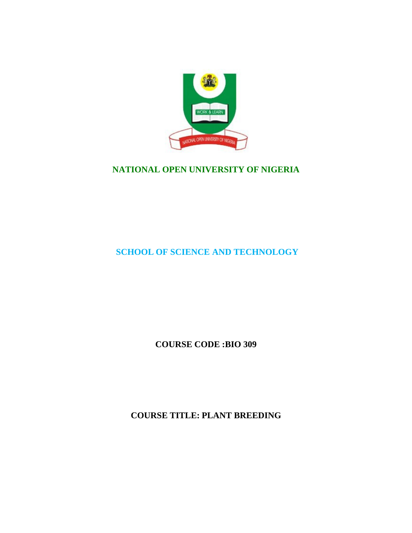

# **NATIONAL OPEN UNIVERSITY OF NIGERIA**

# **SCHOOL OF SCIENCE AND TECHNOLOGY**

**COURSE CODE :BIO 309**

**COURSE TITLE: PLANT BREEDING**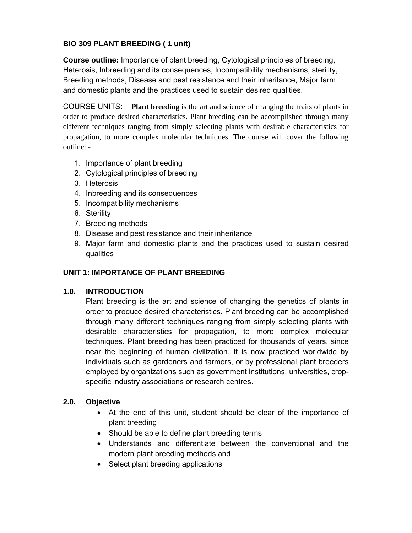## **BIO 309 PLANT BREEDING ( 1 unit)**

**Course outline:** Importance of plant breeding, Cytological principles of breeding, Heterosis, Inbreeding and its consequences, Incompatibility mechanisms, sterility, Breeding methods, Disease and pest resistance and their inheritance, Major farm and domestic plants and the practices used to sustain desired qualities.

COURSE UNITS: **Plant breeding** is the art and science of changing the traits of plants in order to produce desired characteristics. Plant breeding can be accomplished through many different techniques ranging from simply selecting plants with desirable characteristics for propagation, to more complex molecular techniques. The course will cover the following outline: -

- 1. Importance of plant breeding
- 2. Cytological principles of breeding
- 3. Heterosis
- 4. Inbreeding and its consequences
- 5. Incompatibility mechanisms
- 6. Sterility
- 7. Breeding methods
- 8. Disease and pest resistance and their inheritance
- 9. Major farm and domestic plants and the practices used to sustain desired qualities

## **UNIT 1: IMPORTANCE OF PLANT BREEDING**

## **1.0. INTRODUCTION**

Plant breeding is the art and science of changing the genetics of plants in order to produce desired characteristics. Plant breeding can be accomplished through many different techniques ranging from simply selecting plants with desirable characteristics for propagation, to more complex molecular techniques. Plant breeding has been practiced for thousands of years, since near the beginning of human civilization. It is now practiced worldwide by individuals such as gardeners and farmers, or by professional plant breeders employed by organizations such as government institutions, universities, cropspecific industry associations or research centres.

## **2.0. Objective**

- At the end of this unit, student should be clear of the importance of plant breeding
- Should be able to define plant breeding terms
- Understands and differentiate between the conventional and the modern plant breeding methods and
- Select plant breeding applications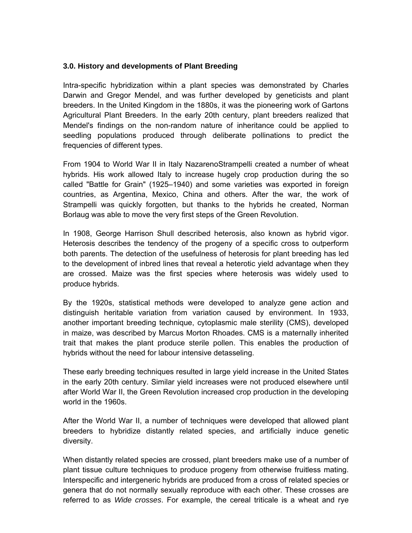#### **3.0. History and developments of Plant Breeding**

Intra-specific hybridization within a plant species was demonstrated by Charles Darwin and Gregor Mendel, and was further developed by geneticists and plant breeders. In the United Kingdom in the 1880s, it was the pioneering work of Gartons Agricultural Plant Breeders. In the early 20th century, plant breeders realized that Mendel's findings on the non-random nature of inheritance could be applied to seedling populations produced through deliberate pollinations to predict the frequencies of different types.

From 1904 to World War II in Italy NazarenoStrampelli created a number of wheat hybrids. His work allowed Italy to increase hugely crop production during the so called "Battle for Grain" (1925–1940) and some varieties was exported in foreign countries, as Argentina, Mexico, China and others. After the war, the work of Strampelli was quickly forgotten, but thanks to the hybrids he created, Norman Borlaug was able to move the very first steps of the Green Revolution.

In 1908, George Harrison Shull described heterosis, also known as hybrid vigor. Heterosis describes the tendency of the progeny of a specific cross to outperform both parents. The detection of the usefulness of heterosis for plant breeding has led to the development of inbred lines that reveal a heterotic yield advantage when they are crossed. Maize was the first species where heterosis was widely used to produce hybrids.

By the 1920s, statistical methods were developed to analyze gene action and distinguish heritable variation from variation caused by environment. In 1933, another important breeding technique, cytoplasmic male sterility (CMS), developed in maize, was described by Marcus Morton Rhoades. CMS is a maternally inherited trait that makes the plant produce sterile pollen. This enables the production of hybrids without the need for labour intensive detasseling.

These early breeding techniques resulted in large yield increase in the United States in the early 20th century. Similar yield increases were not produced elsewhere until after World War II, the Green Revolution increased crop production in the developing world in the 1960s.

After the World War II, a number of techniques were developed that allowed plant breeders to hybridize distantly related species, and artificially induce genetic diversity.

When distantly related species are crossed, plant breeders make use of a number of plant tissue culture techniques to produce progeny from otherwise fruitless mating. Interspecific and intergeneric hybrids are produced from a cross of related species or genera that do not normally sexually reproduce with each other. These crosses are referred to as *Wide crosses*. For example, the cereal triticale is a wheat and rye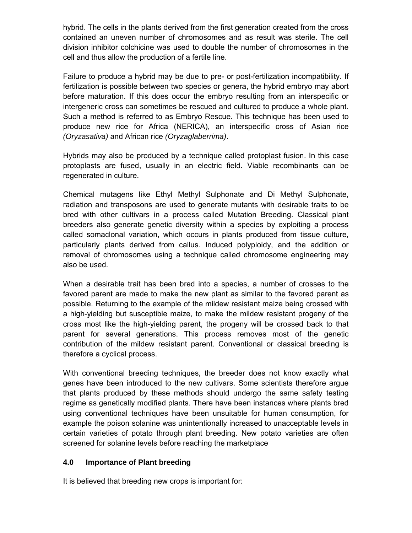hybrid. The cells in the plants derived from the first generation created from the cross contained an uneven number of chromosomes and as result was sterile. The cell division inhibitor colchicine was used to double the number of chromosomes in the cell and thus allow the production of a fertile line.

Failure to produce a hybrid may be due to pre- or post-fertilization incompatibility. If fertilization is possible between two species or genera, the hybrid embryo may abort before maturation. If this does occur the embryo resulting from an interspecific or intergeneric cross can sometimes be rescued and cultured to produce a whole plant. Such a method is referred to as Embryo Rescue. This technique has been used to produce new rice for Africa (NERICA), an interspecific cross of Asian rice *(Oryzasativa)* and African rice *(Oryzaglaberrima)*.

Hybrids may also be produced by a technique called protoplast fusion. In this case protoplasts are fused, usually in an electric field. Viable recombinants can be regenerated in culture.

Chemical mutagens like Ethyl Methyl Sulphonate and Di Methyl Sulphonate, radiation and transposons are used to generate mutants with desirable traits to be bred with other cultivars in a process called Mutation Breeding. Classical plant breeders also generate genetic diversity within a species by exploiting a process called somaclonal variation, which occurs in plants produced from tissue culture, particularly plants derived from callus. Induced polyploidy, and the addition or removal of chromosomes using a technique called chromosome engineering may also be used.

When a desirable trait has been bred into a species, a number of crosses to the favored parent are made to make the new plant as similar to the favored parent as possible. Returning to the example of the mildew resistant maize being crossed with a high-yielding but susceptible maize, to make the mildew resistant progeny of the cross most like the high-yielding parent, the progeny will be crossed back to that parent for several generations. This process removes most of the genetic contribution of the mildew resistant parent. Conventional or classical breeding is therefore a cyclical process.

With conventional breeding techniques, the breeder does not know exactly what genes have been introduced to the new cultivars. Some scientists therefore argue that plants produced by these methods should undergo the same safety testing regime as genetically modified plants. There have been instances where plants bred using conventional techniques have been unsuitable for human consumption, for example the poison solanine was unintentionally increased to unacceptable levels in certain varieties of potato through plant breeding. New potato varieties are often screened for solanine levels before reaching the marketplace

## **4.0 Importance of Plant breeding**

It is believed that breeding new crops is important for: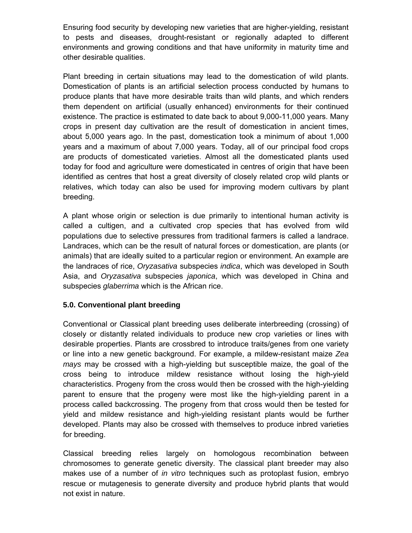Ensuring food security by developing new varieties that are higher-yielding, resistant to pests and diseases, drought-resistant or regionally adapted to different environments and growing conditions and that have uniformity in maturity time and other desirable qualities.

Plant breeding in certain situations may lead to the domestication of wild plants. Domestication of plants is an artificial selection process conducted by humans to produce plants that have more desirable traits than wild plants, and which renders them dependent on artificial (usually enhanced) environments for their continued existence. The practice is estimated to date back to about 9,000-11,000 years. Many crops in present day cultivation are the result of domestication in ancient times, about 5,000 years ago. In the past, domestication took a minimum of about 1,000 years and a maximum of about 7,000 years. Today, all of our principal food crops are products of domesticated varieties. Almost all the domesticated plants used today for food and agriculture were domesticated in centres of origin that have been identified as centres that host a great diversity of closely related crop wild plants or relatives, which today can also be used for improving modern cultivars by plant breeding.

A plant whose origin or selection is due primarily to intentional human activity is called a cultigen, and a cultivated crop species that has evolved from wild populations due to selective pressures from traditional farmers is called a landrace. Landraces, which can be the result of natural forces or domestication, are plants (or animals) that are ideally suited to a particular region or environment. An example are the landraces of rice, *Oryzasativa* subspecies *indica*, which was developed in South Asia, and *Oryzasativa* subspecies *japonica*, which was developed in China and subspecies *glaberrima* which is the African rice.

## **5.0. Conventional plant breeding**

Conventional or Classical plant breeding uses deliberate interbreeding (crossing) of closely or distantly related individuals to produce new crop varieties or lines with desirable properties. Plants are crossbred to introduce traits/genes from one variety or line into a new genetic background. For example, a mildew-resistant maize *Zea mays* may be crossed with a high-yielding but susceptible maize, the goal of the cross being to introduce mildew resistance without losing the high-yield characteristics. Progeny from the cross would then be crossed with the high-yielding parent to ensure that the progeny were most like the high-yielding parent in a process called backcrossing. The progeny from that cross would then be tested for yield and mildew resistance and high-yielding resistant plants would be further developed. Plants may also be crossed with themselves to produce inbred varieties for breeding.

Classical breeding relies largely on homologous recombination between chromosomes to generate genetic diversity. The classical plant breeder may also makes use of a number of *in vitro* techniques such as protoplast fusion, embryo rescue or mutagenesis to generate diversity and produce hybrid plants that would not exist in nature.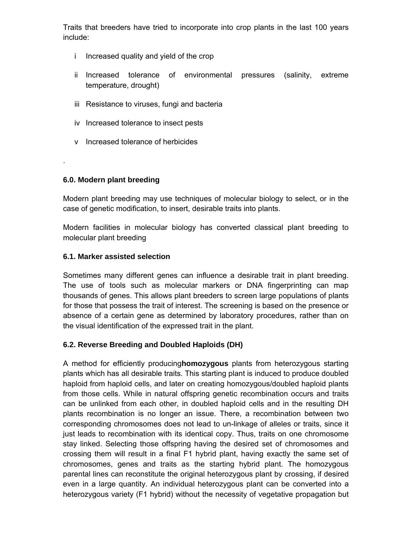Traits that breeders have tried to incorporate into crop plants in the last 100 years include:

- i Increased quality and yield of the crop
- ii Increased tolerance of environmental pressures (salinity, extreme temperature, drought)
- iii Resistance to viruses, fungi and bacteria
- iv Increased tolerance to insect pests
- v Increased tolerance of herbicides

## **6.0. Modern plant breeding**

.

Modern plant breeding may use techniques of molecular biology to select, or in the case of genetic modification, to insert, desirable traits into plants.

Modern facilities in molecular biology has converted classical plant breeding to molecular plant breeding

## **6.1. Marker assisted selection**

Sometimes many different genes can influence a desirable trait in plant breeding. The use of tools such as molecular markers or DNA fingerprinting can map thousands of genes. This allows plant breeders to screen large populations of plants for those that possess the trait of interest. The screening is based on the presence or absence of a certain gene as determined by laboratory procedures, rather than on the visual identification of the expressed trait in the plant.

## **6.2. Reverse Breeding and Doubled Haploids (DH)**

A method for efficiently producing**homozygous** plants from heterozygous starting plants which has all desirable traits. This starting plant is induced to produce doubled haploid from haploid cells, and later on creating homozygous/doubled haploid plants from those cells. While in natural offspring genetic recombination occurs and traits can be unlinked from each other, in doubled haploid cells and in the resulting DH plants recombination is no longer an issue. There, a recombination between two corresponding chromosomes does not lead to un-linkage of alleles or traits, since it just leads to recombination with its identical copy. Thus, traits on one chromosome stay linked. Selecting those offspring having the desired set of chromosomes and crossing them will result in a final F1 hybrid plant, having exactly the same set of chromosomes, genes and traits as the starting hybrid plant. The homozygous parental lines can reconstitute the original heterozygous plant by crossing, if desired even in a large quantity. An individual heterozygous plant can be converted into a heterozygous variety (F1 hybrid) without the necessity of vegetative propagation but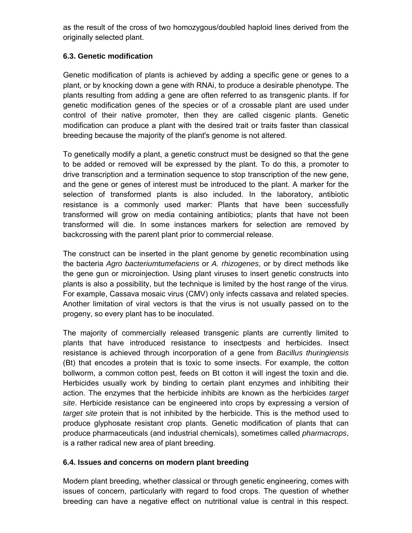as the result of the cross of two homozygous/doubled haploid lines derived from the originally selected plant.

## **6.3. Genetic modification**

Genetic modification of plants is achieved by adding a specific gene or genes to a plant, or by knocking down a gene with RNAi, to produce a desirable phenotype. The plants resulting from adding a gene are often referred to as transgenic plants. If for genetic modification genes of the species or of a crossable plant are used under control of their native promoter, then they are called cisgenic plants. Genetic modification can produce a plant with the desired trait or traits faster than classical breeding because the majority of the plant's genome is not altered.

To genetically modify a plant, a genetic construct must be designed so that the gene to be added or removed will be expressed by the plant. To do this, a promoter to drive transcription and a termination sequence to stop transcription of the new gene, and the gene or genes of interest must be introduced to the plant. A marker for the selection of transformed plants is also included. In the laboratory, antibiotic resistance is a commonly used marker: Plants that have been successfully transformed will grow on media containing antibiotics; plants that have not been transformed will die. In some instances markers for selection are removed by backcrossing with the parent plant prior to commercial release.

The construct can be inserted in the plant genome by genetic recombination using the bacteria *Agro bacteriumtumefaciens* or *A. rhizogenes*, or by direct methods like the gene gun or microinjection. Using plant viruses to insert genetic constructs into plants is also a possibility, but the technique is limited by the host range of the virus. For example, Cassava mosaic virus (CMV) only infects cassava and related species. Another limitation of viral vectors is that the virus is not usually passed on to the progeny, so every plant has to be inoculated.

The majority of commercially released transgenic plants are currently limited to plants that have introduced resistance to insectpests and herbicides. Insect resistance is achieved through incorporation of a gene from *Bacillus thuringiensis* (Bt) that encodes a protein that is toxic to some insects. For example, the cotton bollworm, a common cotton pest, feeds on Bt cotton it will ingest the toxin and die. Herbicides usually work by binding to certain plant enzymes and inhibiting their action. The enzymes that the herbicide inhibits are known as the herbicides *target site*. Herbicide resistance can be engineered into crops by expressing a version of *target site* protein that is not inhibited by the herbicide. This is the method used to produce glyphosate resistant crop plants. Genetic modification of plants that can produce pharmaceuticals (and industrial chemicals), sometimes called *pharmacrops*, is a rather radical new area of plant breeding.

## **6.4. Issues and concerns on modern plant breeding**

Modern plant breeding, whether classical or through genetic engineering, comes with issues of concern, particularly with regard to food crops. The question of whether breeding can have a negative effect on nutritional value is central in this respect.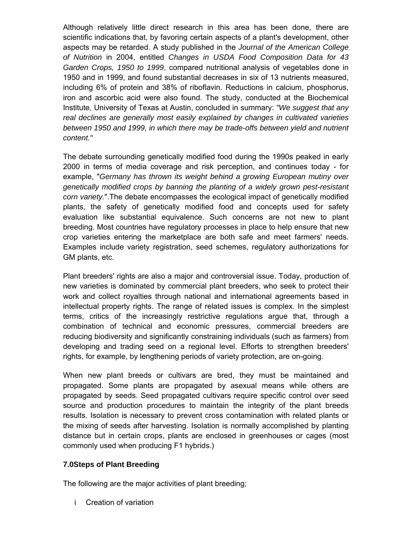Although relatively little direct research in this area has been done, there are scientific indications that, by favoring certain aspects of a plant's development, other aspects may be retarded. A study published in the *Journal of the American College of Nutrition* in 2004, entitled *Changes in USDA Food Composition Data for 43 Garden Crops, 1950 to 1999*, compared nutritional analysis of vegetables done in 1950 and in 1999, and found substantial decreases in six of 13 nutrients measured, including 6% of protein and 38% of riboflavin. Reductions in calcium, phosphorus, iron and ascorbic acid were also found. The study, conducted at the Biochemical Institute, University of Texas at Austin, concluded in summary: *"We suggest that any real declines are generally most easily explained by changes in cultivated varieties between 1950 and 1999, in which there may be trade-offs between yield and nutrient content."*

The debate surrounding genetically modified food during the 1990s peaked in early 2000 in terms of media coverage and risk perception, and continues today - for example, "*Germany has thrown its weight behind a growing European mutiny over genetically modified crops by banning the planting of a widely grown pest-resistant corn variety.*".The debate encompasses the ecological impact of genetically modified plants, the safety of genetically modified food and concepts used for safety evaluation like substantial equivalence. Such concerns are not new to plant breeding. Most countries have regulatory processes in place to help ensure that new crop varieties entering the marketplace are both safe and meet farmers' needs. Examples include variety registration, seed schemes, regulatory authorizations for GM plants, etc.

Plant breeders' rights are also a major and controversial issue. Today, production of new varieties is dominated by commercial plant breeders, who seek to protect their work and collect royalties through national and international agreements based in intellectual property rights. The range of related issues is complex. In the simplest terms, critics of the increasingly restrictive regulations argue that, through a combination of technical and economic pressures, commercial breeders are reducing biodiversity and significantly constraining individuals (such as farmers) from developing and trading seed on a regional level. Efforts to strengthen breeders' rights, for example, by lengthening periods of variety protection, are on-going.

When new plant breeds or cultivars are bred, they must be maintained and propagated. Some plants are propagated by asexual means while others are propagated by seeds. Seed propagated cultivars require specific control over seed source and production procedures to maintain the integrity of the plant breeds results. Isolation is necessary to prevent cross contamination with related plants or the mixing of seeds after harvesting. Isolation is normally accomplished by planting distance but in certain crops, plants are enclosed in greenhouses or cages (most commonly used when producing F1 hybrids.)

## **7.0Steps of Plant Breeding**

The following are the major activities of plant breeding;

i Creation of variation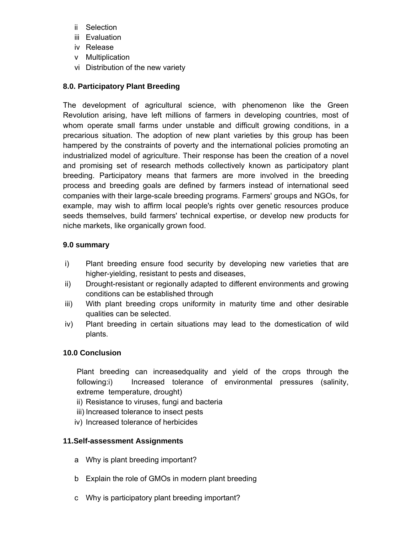- ii Selection
- iii Evaluation
- iv Release
- v Multiplication
- vi Distribution of the new variety

## **8.0. Participatory Plant Breeding**

The development of agricultural science, with phenomenon like the Green Revolution arising, have left millions of farmers in developing countries, most of whom operate small farms under unstable and difficult growing conditions, in a precarious situation. The adoption of new plant varieties by this group has been hampered by the constraints of poverty and the international policies promoting an industrialized model of agriculture. Their response has been the creation of a novel and promising set of research methods collectively known as participatory plant breeding. Participatory means that farmers are more involved in the breeding process and breeding goals are defined by farmers instead of international seed companies with their large-scale breeding programs. Farmers' groups and NGOs, for example, may wish to affirm local people's rights over genetic resources produce seeds themselves, build farmers' technical expertise, or develop new products for niche markets, like organically grown food.

## **9.0 summary**

- i) Plant breeding ensure food security by developing new varieties that are higher-yielding, resistant to pests and diseases,
- ii) Drought-resistant or regionally adapted to different environments and growing conditions can be established through
- iii) With plant breeding crops uniformity in maturity time and other desirable qualities can be selected.
- iv) Plant breeding in certain situations may lead to the domestication of wild plants.

## **10.0 Conclusion**

Plant breeding can increasedquality and yield of the crops through the following:i) Increased tolerance of environmental pressures (salinity, extreme temperature, drought)

- ii) Resistance to viruses, fungi and bacteria
- iii) Increased tolerance to insect pests
- iv) Increased tolerance of herbicides

## **11.Self-assessment Assignments**

- a Why is plant breeding important?
- b Explain the role of GMOs in modern plant breeding
- c Why is participatory plant breeding important?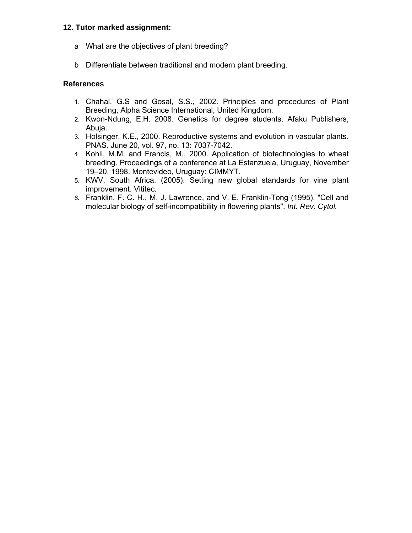#### **12. Tutor marked assignment:**

- a What are the objectives of plant breeding?
- b Differentiate between traditional and modern plant breeding.

#### **References**

- 1. Chahal, G.S and Gosal, S.S., 2002. Principles and procedures of Plant Breeding, Alpha Science International, United Kingdom.
- 2. Kwon-Ndung, E.H. 2008. Genetics for degree students. Afaku Publishers, Abuja.
- 3. Holsinger, K.E., 2000. Reproductive systems and evolution in vascular plants. PNAS. June 20, vol. 97, no. 13: 7037-7042.
- 4. Kohli, M.M. and Francis, M., 2000. Application of biotechnologies to wheat breeding. Proceedings of a conference at La Estanzuela, Uruguay, November 19–20, 1998. Montevideo, Uruguay: CIMMYT.
- 5. KWV, South Africa. (2005). Setting new global standards for vine plant improvement. Vititec.
- *6.* Franklin, F. C. H., M. J. Lawrence, and V. E. Franklin-Tong (1995). "Cell and molecular biology of self-incompatibility in flowering plants". *Int. Rev. Cytol.*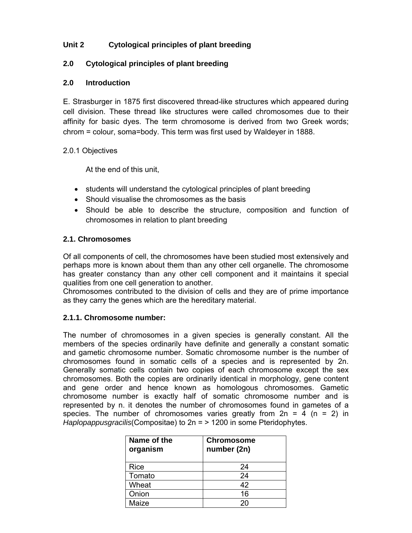## **Unit 2 Cytological principles of plant breeding**

#### **2.0 Cytological principles of plant breeding**

#### **2.0 Introduction**

E. Strasburger in 1875 first discovered thread-like structures which appeared during cell division. These thread like structures were called chromosomes due to their affinity for basic dyes. The term chromosome is derived from two Greek words; chrom = colour, soma=body. This term was first used by Waldeyer in 1888.

#### 2.0.1 Objectives

At the end of this unit,

- students will understand the cytological principles of plant breeding
- Should visualise the chromosomes as the basis
- Should be able to describe the structure, composition and function of chromosomes in relation to plant breeding

#### **2.1. Chromosomes**

Of all components of cell, the chromosomes have been studied most extensively and perhaps more is known about them than any other cell organelle. The chromosome has greater constancy than any other cell component and it maintains it special qualities from one cell generation to another.

Chromosomes contributed to the division of cells and they are of prime importance as they carry the genes which are the hereditary material.

#### **2.1.1. Chromosome number:**

The number of chromosomes in a given species is generally constant. All the members of the species ordinarily have definite and generally a constant somatic and gametic chromosome number. Somatic chromosome number is the number of chromosomes found in somatic cells of a species and is represented by 2n. Generally somatic cells contain two copies of each chromosome except the sex chromosomes. Both the copies are ordinarily identical in morphology, gene content and gene order and hence known as homologous chromosomes. Gametic chromosome number is exactly half of somatic chromosome number and is represented by n. it denotes the number of chromosomes found in gametes of a species. The number of chromosomes varies greatly from  $2n = 4$  (n = 2) in *Haplopappusgracilis*(Compositae) to 2n = > 1200 in some Pteridophytes.

| Name of the<br>organism | <b>Chromosome</b><br>number (2n) |
|-------------------------|----------------------------------|
| Rice                    | 24                               |
| Tomato                  | 24                               |
| Wheat                   | 42                               |
| Onion                   | 16                               |
| Maize                   | 20                               |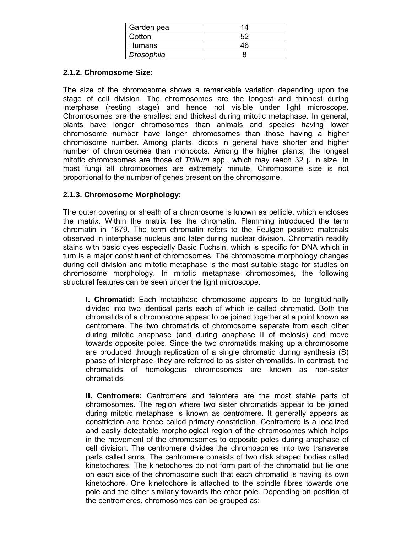| Garden pea    | 14 |
|---------------|----|
| Cotton        |    |
| <b>Humans</b> | 46 |
| Drosophila    |    |

#### **2.1.2. Chromosome Size:**

The size of the chromosome shows a remarkable variation depending upon the stage of cell division. The chromosomes are the longest and thinnest during interphase (resting stage) and hence not visible under light microscope. Chromosomes are the smallest and thickest during mitotic metaphase. In general, plants have longer chromosomes than animals and species having lower chromosome number have longer chromosomes than those having a higher chromosome number. Among plants, dicots in general have shorter and higher number of chromosomes than monocots. Among the higher plants, the longest mitotic chromosomes are those of *Trillium* spp., which may reach 32 μ in size. In most fungi all chromosomes are extremely minute. Chromosome size is not proportional to the number of genes present on the chromosome.

#### **2.1.3. Chromosome Morphology:**

The outer covering or sheath of a chromosome is known as pellicle, which encloses the matrix. Within the matrix lies the chromatin. Flemming introduced the term chromatin in 1879. The term chromatin refers to the Feulgen positive materials observed in interphase nucleus and later during nuclear division. Chromatin readily stains with basic dyes especially Basic Fuchsin, which is specific for DNA which in turn is a major constituent of chromosomes. The chromosome morphology changes during cell division and mitotic metaphase is the most suitable stage for studies on chromosome morphology. In mitotic metaphase chromosomes, the following structural features can be seen under the light microscope.

 **I. Chromatid:** Each metaphase chromosome appears to be longitudinally divided into two identical parts each of which is called chromatid. Both the chromatids of a chromosome appear to be joined together at a point known as centromere. The two chromatids of chromosome separate from each other during mitotic anaphase (and during anaphase II of meiosis) and move towards opposite poles. Since the two chromatids making up a chromosome are produced through replication of a single chromatid during synthesis (S) phase of interphase, they are referred to as sister chromatids. In contrast, the chromatids of homologous chromosomes are known as non-sister chromatids.

 **II. Centromere:** Centromere and telomere are the most stable parts of chromosomes. The region where two sister chromatids appear to be joined during mitotic metaphase is known as centromere. It generally appears as constriction and hence called primary constriction. Centromere is a localized and easily detectable morphological region of the chromosomes which helps in the movement of the chromosomes to opposite poles during anaphase of cell division. The centromere divides the chromosomes into two transverse parts called arms. The centromere consists of two disk shaped bodies called kinetochores. The kinetochores do not form part of the chromatid but lie one on each side of the chromosome such that each chromatid is having its own kinetochore. One kinetochore is attached to the spindle fibres towards one pole and the other similarly towards the other pole. Depending on position of the centromeres, chromosomes can be grouped as: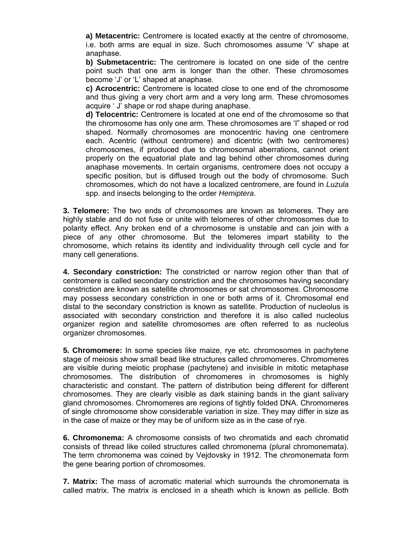**a) Metacentric:** Centromere is located exactly at the centre of chromosome, i.e. both arms are equal in size. Such chromosomes assume 'V' shape at anaphase.

 **b) Submetacentric:** The centromere is located on one side of the centre point such that one arm is longer than the other. These chromosomes become 'J' or 'L' shaped at anaphase.

 **c) Acrocentric:** Centromere is located close to one end of the chromosome and thus giving a very chort arm and a very long arm. These chromosomes acquire ' J' shape or rod shape during anaphase.

 **d) Telocentric:** Centromere is located at one end of the chromosome so that the chromosome has only one arm. These chromosomes are 'I" shaped or rod shaped. Normally chromosomes are monocentric having one centromere each. Acentric (without centromere) and dicentric (with two centromeres) chromosomes, if produced due to chromosomal aberrations, cannot orient properly on the equatorial plate and lag behind other chromosomes during anaphase movements. In certain organisms, centromere does not occupy a specific position, but is diffused trough out the body of chromosome. Such chromosomes, which do not have a localized centromere, are found in *Luzula* spp. and insects belonging to the order *Hemiptera*.

**3. Telomere:** The two ends of chromosomes are known as telomeres. They are highly stable and do not fuse or unite with telomeres of other chromosomes due to polarity effect. Any broken end of a chromosome is unstable and can join with a piece of any other chromosome. But the telomeres impart stability to the chromosome, which retains its identity and individuality through cell cycle and for many cell generations.

**4. Secondary constriction:** The constricted or narrow region other than that of centromere is called secondary constriction and the chromosomes having secondary constriction are known as satellite chromosomes or sat chromosomes. Chromosome may possess secondary constriction in one or both arms of it. Chromosomal end distal to the secondary constriction is known as satellite. Production of nucleolus is associated with secondary constriction and therefore it is also called nucleolus organizer region and satellite chromosomes are often referred to as nucleolus organizer chromosomes.

**5. Chromomere:** In some species like maize, rye etc. chromosomes in pachytene stage of meiosis show small bead like structures called chromomeres. Chromomeres are visible during meiotic prophase (pachytene) and invisible in mitotic metaphase chromosomes. The distribution of chromomeres in chromosomes is highly characteristic and constant. The pattern of distribution being different for different chromosomes. They are clearly visible as dark staining bands in the giant salivary gland chromosomes. Chromomeres are regions of tightly folded DNA. Chromomeres of single chromosome show considerable variation in size. They may differ in size as in the case of maize or they may be of uniform size as in the case of rye.

**6. Chromonema:** A chromosome consists of two chromatids and each chromatid consists of thread like coiled structures called chromonema (plural chromonemata). The term chromonema was coined by Vejdovsky in 1912. The chromonemata form the gene bearing portion of chromosomes.

**7. Matrix:** The mass of acromatic material which surrounds the chromonemata is called matrix. The matrix is enclosed in a sheath which is known as pellicle. Both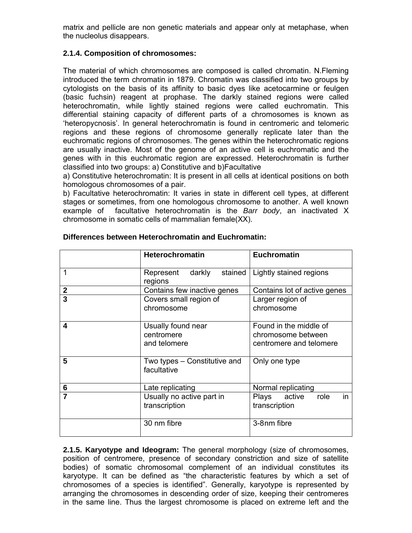matrix and pellicle are non genetic materials and appear only at metaphase, when the nucleolus disappears.

#### **2.1.4. Composition of chromosomes:**

The material of which chromosomes are composed is called chromatin. N.Fleming introduced the term chromatin in 1879. Chromatin was classified into two groups by cytologists on the basis of its affinity to basic dyes like acetocarmine or feulgen (basic fuchsin) reagent at prophase. The darkly stained regions were called heterochromatin, while lightly stained regions were called euchromatin. This differential staining capacity of different parts of a chromosomes is known as 'heteropycnosis'. In general heterochromatin is found in centromeric and telomeric regions and these regions of chromosome generally replicate later than the euchromatic regions of chromosomes. The genes within the heterochromatic regions are usually inactive. Most of the genome of an active cell is euchromatic and the genes with in this euchromatic region are expressed. Heterochromatin is further classified into two groups: a) Constitutive and b)Facultative

a) Constitutive heterochromatin: It is present in all cells at identical positions on both homologous chromosomes of a pair.

b) Facultative heterochromatin: It varies in state in different cell types, at different stages or sometimes, from one homologous chromosome to another. A well known example of facultative heterochromatin is the *Barr body*, an inactivated X chromosome in somatic cells of mammalian female(XX).

|                  | <b>Heterochromatin</b>                           | <b>Euchromatin</b>                                                      |  |  |
|------------------|--------------------------------------------------|-------------------------------------------------------------------------|--|--|
| 1                | darkly stained<br>Represent<br>regions           | Lightly stained regions                                                 |  |  |
| $\boldsymbol{2}$ | Contains few inactive genes                      | Contains lot of active genes                                            |  |  |
| 3                | Covers small region of<br>chromosome             | Larger region of<br>chromosome                                          |  |  |
| 4                | Usually found near<br>centromere<br>and telomere | Found in the middle of<br>chromosome between<br>centromere and telomere |  |  |
| 5                | Two types – Constitutive and<br>facultative      | Only one type                                                           |  |  |
| 6                | Late replicating                                 | Normal replicating                                                      |  |  |
| 7                | Usually no active part in<br>transcription       | in<br>Plays active<br>role<br>transcription                             |  |  |
|                  | 30 nm fibre                                      | 3-8nm fibre                                                             |  |  |

#### **Differences between Heterochromatin and Euchromatin:**

**2.1.5. Karyotype and Ideogram:** The general morphology (size of chromosomes, position of centromere, presence of secondary constriction and size of satellite bodies) of somatic chromosomal complement of an individual constitutes its karyotype. It can be defined as "the characteristic features by which a set of chromosomes of a species is identified". Generally, karyotype is represented by arranging the chromosomes in descending order of size, keeping their centromeres in the same line. Thus the largest chromosome is placed on extreme left and the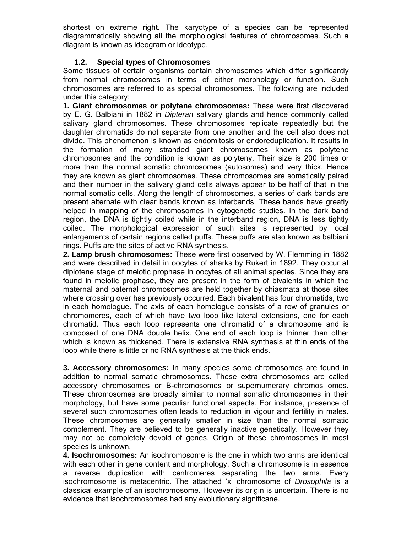shortest on extreme right. The karyotype of a species can be represented diagrammatically showing all the morphological features of chromosomes. Such a diagram is known as ideogram or ideotype.

#### **1.2. Special types of Chromosomes**

Some tissues of certain organisms contain chromosomes which differ significantly from normal chromosomes in terms of either morphology or function. Such chromosomes are referred to as special chromosomes. The following are included under this category:

**1. Giant chromosomes or polytene chromosomes:** These were first discovered by E. G. Balbiani in 1882 in *Dipteran* salivary glands and hence commonly called salivary gland chromosomes. These chromosomes replicate repeatedly but the daughter chromatids do not separate from one another and the cell also does not divide. This phenomenon is known as endomitosis or endoreduplication. It results in the formation of many stranded giant chromosomes known as polytene chromosomes and the condition is known as polyteny. Their size is 200 times or more than the normal somatic chromosomes (autosomes) and very thick. Hence they are known as giant chromosomes. These chromosomes are somatically paired and their number in the salivary gland cells always appear to be half of that in the normal somatic cells. Along the length of chromosomes, a series of dark bands are present alternate with clear bands known as interbands. These bands have greatly helped in mapping of the chromosomes in cytogenetic studies. In the dark band region, the DNA is tightly coiled while in the interband region, DNA is less tightly coiled. The morphological expression of such sites is represented by local enlargements of certain regions called puffs. These puffs are also known as balbiani rings. Puffs are the sites of active RNA synthesis.

**2. Lamp brush chromosomes:** These were first observed by W. Flemming in 1882 and were described in detail in oocytes of sharks by Rukert in 1892. They occur at diplotene stage of meiotic prophase in oocytes of all animal species. Since they are found in meiotic prophase, they are present in the form of bivalents in which the maternal and paternal chromosomes are held together by chiasmata at those sites where crossing over has previously occurred. Each bivalent has four chromatids, two in each homologue. The axis of each homologue consists of a row of granules or chromomeres, each of which have two loop like lateral extensions, one for each chromatid. Thus each loop represents one chromatid of a chromosome and is composed of one DNA double helix. One end of each loop is thinner than other which is known as thickened. There is extensive RNA synthesis at thin ends of the loop while there is little or no RNA synthesis at the thick ends.

**3. Accessory chromosomes:** In many species some chromosomes are found in addition to normal somatic chromosomes. These extra chromosomes are called accessory chromosomes or B-chromosomes or supernumerary chromos omes. These chromosomes are broadly similar to normal somatic chromosomes in their morphology, but have some peculiar functional aspects. For instance, presence of several such chromosomes often leads to reduction in vigour and fertility in males. These chromosomes are generally smaller in size than the normal somatic complement. They are believed to be generally inactive genetically. However they may not be completely devoid of genes. Origin of these chromosomes in most species is unknown.

**4. Isochromosomes:** An isochromosome is the one in which two arms are identical with each other in gene content and morphology. Such a chromosome is in essence a reverse duplication with centromeres separating the two arms. Every isochromosome is metacentric. The attached 'x' chromosome of *Drosophila* is a classical example of an isochromosome. However its origin is uncertain. There is no evidence that isochromosomes had any evolutionary significane.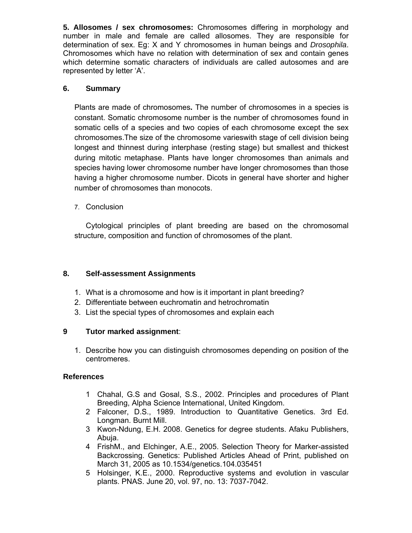**5. Allosomes / sex chromosomes:** Chromosomes differing in morphology and number in male and female are called allosomes. They are responsible for determination of sex. Eg: X and Y chromosomes in human beings and *Drosophila*. Chromosomes which have no relation with determination of sex and contain genes which determine somatic characters of individuals are called autosomes and are represented by letter 'A'.

## **6. Summary**

Plants are made of chromosomes**.** The number of chromosomes in a species is constant. Somatic chromosome number is the number of chromosomes found in somatic cells of a species and two copies of each chromosome except the sex chromosomes.The size of the chromosome varieswith stage of cell division being longest and thinnest during interphase (resting stage) but smallest and thickest during mitotic metaphase. Plants have longer chromosomes than animals and species having lower chromosome number have longer chromosomes than those having a higher chromosome number. Dicots in general have shorter and higher number of chromosomes than monocots.

7. Conclusion

Cytological principles of plant breeding are based on the chromosomal structure, composition and function of chromosomes of the plant.

## **8. Self-assessment Assignments**

- 1. What is a chromosome and how is it important in plant breeding?
- 2. Differentiate between euchromatin and hetrochromatin
- 3. List the special types of chromosomes and explain each

## **9 Tutor marked assignment**:

1. Describe how you can distinguish chromosomes depending on position of the centromeres.

#### **References**

- 1 Chahal, G.S and Gosal, S.S., 2002. Principles and procedures of Plant Breeding, Alpha Science International, United Kingdom.
- 2 Falconer, D.S., 1989. Introduction to Quantitative Genetics. 3rd Ed. Longman. Burnt Mill.
- 3 Kwon-Ndung, E.H. 2008. Genetics for degree students. Afaku Publishers, Abuja.
- 4 FrishM., and Elchinger, A.E., 2005. Selection Theory for Marker-assisted Backcrossing. Genetics: Published Articles Ahead of Print, published on March 31, 2005 as 10.1534/genetics.104.035451
- 5 Holsinger, K.E., 2000. Reproductive systems and evolution in vascular plants. PNAS. June 20, vol. 97, no. 13: 7037-7042.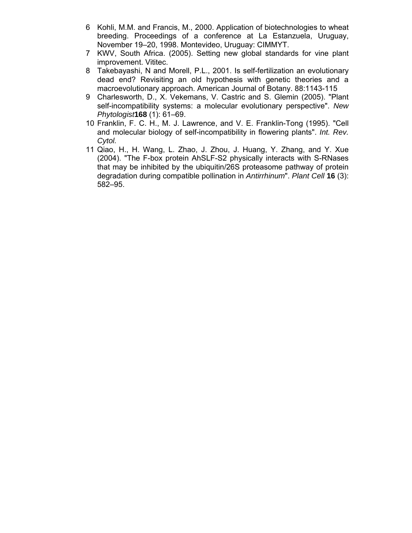- 6 Kohli, M.M. and Francis, M., 2000. Application of biotechnologies to wheat breeding. Proceedings of a conference at La Estanzuela, Uruguay, November 19–20, 1998. Montevideo, Uruguay: CIMMYT.
- 7 KWV, South Africa. (2005). Setting new global standards for vine plant improvement. Vititec.
- 8 Takebayashi, N and Morell, P.L., 2001. Is self-fertilization an evolutionary dead end? Revisiting an old hypothesis with genetic theories and a macroevolutionary approach. American Journal of Botany. 88:1143-115
- 9 Charlesworth, D., X. Vekemans, V. Castric and S. Glemin (2005). "Plant self-incompatibility systems: a molecular evolutionary perspective". *New Phytologist***168** (1): 61–69.
- 10 Franklin, F. C. H., M. J. Lawrence, and V. E. Franklin-Tong (1995). "Cell and molecular biology of self-incompatibility in flowering plants". *Int. Rev. Cytol.*
- 11 Qiao, H., H. Wang, L. Zhao, J. Zhou, J. Huang, Y. Zhang, and Y. Xue (2004). "The F-box protein AhSLF-S2 physically interacts with S-RNases that may be inhibited by the ubiquitin/26S proteasome pathway of protein degradation during compatible pollination in *Antirrhinum*". *Plant Cell* **16** (3): 582–95.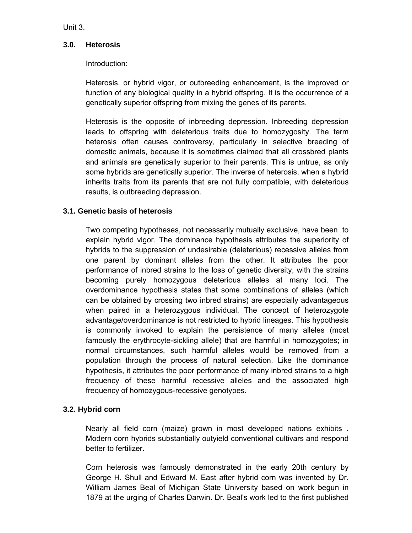Unit 3.

#### **3.0. Heterosis**

#### Introduction:

Heterosis, or hybrid vigor, or outbreeding enhancement, is the improved or function of any biological quality in a hybrid offspring. It is the occurrence of a genetically superior offspring from mixing the genes of its parents.

Heterosis is the opposite of inbreeding depression. Inbreeding depression leads to offspring with deleterious traits due to homozygosity. The term heterosis often causes controversy, particularly in selective breeding of domestic animals, because it is sometimes claimed that all crossbred plants and animals are genetically superior to their parents. This is untrue, as only some hybrids are genetically superior. The inverse of heterosis, when a hybrid inherits traits from its parents that are not fully compatible, with deleterious results, is outbreeding depression.

#### **3.1. Genetic basis of heterosis**

Two competing hypotheses, not necessarily mutually exclusive, have been to explain hybrid vigor. The dominance hypothesis attributes the superiority of hybrids to the suppression of undesirable (deleterious) recessive alleles from one parent by dominant alleles from the other. It attributes the poor performance of inbred strains to the loss of genetic diversity, with the strains becoming purely homozygous deleterious alleles at many loci. The overdominance hypothesis states that some combinations of alleles (which can be obtained by crossing two inbred strains) are especially advantageous when paired in a heterozygous individual. The concept of heterozygote advantage/overdominance is not restricted to hybrid lineages. This hypothesis is commonly invoked to explain the persistence of many alleles (most famously the erythrocyte-sickling allele) that are harmful in homozygotes; in normal circumstances, such harmful alleles would be removed from a population through the process of natural selection. Like the dominance hypothesis, it attributes the poor performance of many inbred strains to a high frequency of these harmful recessive alleles and the associated high frequency of homozygous-recessive genotypes.

## **3.2. Hybrid corn**

Nearly all field corn (maize) grown in most developed nations exhibits . Modern corn hybrids substantially outyield conventional cultivars and respond better to fertilizer.

Corn heterosis was famously demonstrated in the early 20th century by George H. Shull and Edward M. East after hybrid corn was invented by Dr. William James Beal of Michigan State University based on work begun in 1879 at the urging of Charles Darwin. Dr. Beal's work led to the first published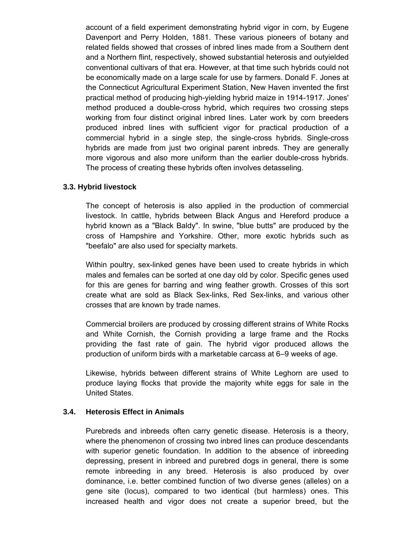account of a field experiment demonstrating hybrid vigor in corn, by Eugene Davenport and Perry Holden, 1881. These various pioneers of botany and related fields showed that crosses of inbred lines made from a Southern dent and a Northern flint, respectively, showed substantial heterosis and outyielded conventional cultivars of that era. However, at that time such hybrids could not be economically made on a large scale for use by farmers. Donald F. Jones at the Connecticut Agricultural Experiment Station, New Haven invented the first practical method of producing high-yielding hybrid maize in 1914-1917. Jones' method produced a double-cross hybrid, which requires two crossing steps working from four distinct original inbred lines. Later work by corn breeders produced inbred lines with sufficient vigor for practical production of a commercial hybrid in a single step, the single-cross hybrids. Single-cross hybrids are made from just two original parent inbreds. They are generally more vigorous and also more uniform than the earlier double-cross hybrids. The process of creating these hybrids often involves detasseling.

#### **3.3. Hybrid livestock**

The concept of heterosis is also applied in the production of commercial livestock. In cattle, hybrids between Black Angus and Hereford produce a hybrid known as a "Black Baldy". In swine, "blue butts" are produced by the cross of Hampshire and Yorkshire. Other, more exotic hybrids such as "beefalo" are also used for specialty markets.

Within poultry, sex-linked genes have been used to create hybrids in which males and females can be sorted at one day old by color. Specific genes used for this are genes for barring and wing feather growth. Crosses of this sort create what are sold as Black Sex-links, Red Sex-links, and various other crosses that are known by trade names.

Commercial broilers are produced by crossing different strains of White Rocks and White Cornish, the Cornish providing a large frame and the Rocks providing the fast rate of gain. The hybrid vigor produced allows the production of uniform birds with a marketable carcass at 6–9 weeks of age.

Likewise, hybrids between different strains of White Leghorn are used to produce laying flocks that provide the majority white eggs for sale in the United States.

#### **3.4. Heterosis Effect in Animals**

Purebreds and inbreeds often carry genetic disease. Heterosis is a theory, where the phenomenon of crossing two inbred lines can produce descendants with superior genetic foundation. In addition to the absence of inbreeding depressing, present in inbreed and purebred dogs in general, there is some remote inbreeding in any breed. Heterosis is also produced by over dominance, i.e. better combined function of two diverse genes (alleles) on a gene site (locus), compared to two identical (but harmless) ones. This increased health and vigor does not create a superior breed, but the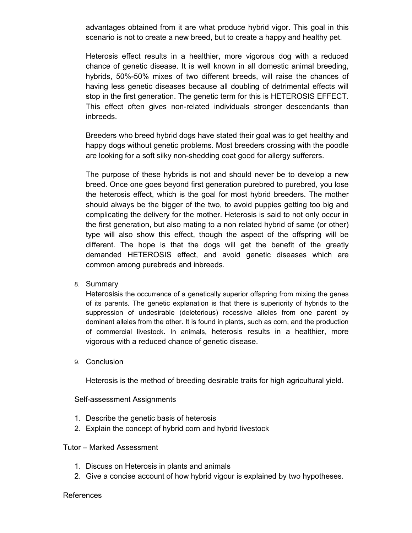advantages obtained from it are what produce hybrid vigor. This goal in this scenario is not to create a new breed, but to create a happy and healthy pet.

Heterosis effect results in a healthier, more vigorous dog with a reduced chance of genetic disease. It is well known in all domestic animal breeding, hybrids, 50%-50% mixes of two different breeds, will raise the chances of having less genetic diseases because all doubling of detrimental effects will stop in the first generation. The genetic term for this is HETEROSIS EFFECT. This effect often gives non-related individuals stronger descendants than inbreeds.

Breeders who breed hybrid dogs have stated their goal was to get healthy and happy dogs without genetic problems. Most breeders crossing with the poodle are looking for a soft silky non-shedding coat good for allergy sufferers.

The purpose of these hybrids is not and should never be to develop a new breed. Once one goes beyond first generation purebred to purebred, you lose the heterosis effect, which is the goal for most hybrid breeders. The mother should always be the bigger of the two, to avoid puppies getting too big and complicating the delivery for the mother. Heterosis is said to not only occur in the first generation, but also mating to a non related hybrid of same (or other) type will also show this effect, though the aspect of the offspring will be different. The hope is that the dogs will get the benefit of the greatly demanded HETEROSIS effect, and avoid genetic diseases which are common among purebreds and inbreeds.

8. Summary

Heterosisis the occurrence of a genetically superior offspring from mixing the genes of its parents. The genetic explanation is that there is superiority of hybrids to the suppression of undesirable (deleterious) recessive alleles from one parent by dominant alleles from the other. It is found in plants, such as corn, and the production of commercial livestock. In animals, heterosis results in a healthier, more vigorous with a reduced chance of genetic disease.

9. Conclusion

Heterosis is the method of breeding desirable traits for high agricultural yield.

Self-assessment Assignments

- 1. Describe the genetic basis of heterosis
- 2. Explain the concept of hybrid corn and hybrid livestock

#### Tutor – Marked Assessment

- 1. Discuss on Heterosis in plants and animals
- 2. Give a concise account of how hybrid vigour is explained by two hypotheses.

#### References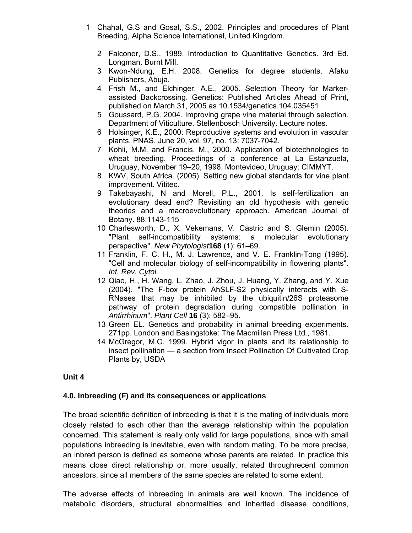- 1 Chahal, G.S and Gosal, S.S., 2002. Principles and procedures of Plant Breeding, Alpha Science International, United Kingdom.
	- 2 Falconer, D.S., 1989. Introduction to Quantitative Genetics. 3rd Ed. Longman. Burnt Mill.
	- 3 Kwon-Ndung, E.H. 2008. Genetics for degree students. Afaku Publishers, Abuja.
	- 4 Frish M., and Elchinger, A.E., 2005. Selection Theory for Markerassisted Backcrossing. Genetics: Published Articles Ahead of Print, published on March 31, 2005 as 10.1534/genetics.104.035451
	- 5 Goussard, P.G. 2004. Improving grape vine material through selection. Department of Viticulture. Stellenbosch University. Lecture notes.
	- 6 Holsinger, K.E., 2000. Reproductive systems and evolution in vascular plants. PNAS. June 20, vol. 97, no. 13: 7037-7042.
	- 7 Kohli, M.M. and Francis, M., 2000. Application of biotechnologies to wheat breeding. Proceedings of a conference at La Estanzuela, Uruguay, November 19–20, 1998. Montevideo, Uruguay: CIMMYT.
	- 8 KWV, South Africa. (2005). Setting new global standards for vine plant improvement. Vititec.
	- 9 Takebayashi, N and Morell, P.L., 2001. Is self-fertilization an evolutionary dead end? Revisiting an old hypothesis with genetic theories and a macroevolutionary approach. American Journal of Botany. 88:1143-115
	- 10 Charlesworth, D., X. Vekemans, V. Castric and S. Glemin (2005). "Plant self-incompatibility systems: a molecular evolutionary perspective". *New Phytologist***168** (1): 61–69.
	- 11 Franklin, F. C. H., M. J. Lawrence, and V. E. Franklin-Tong (1995). "Cell and molecular biology of self-incompatibility in flowering plants". *Int. Rev. Cytol.*
	- 12 Qiao, H., H. Wang, L. Zhao, J. Zhou, J. Huang, Y. Zhang, and Y. Xue (2004). "The F-box protein AhSLF-S2 physically interacts with S-RNases that may be inhibited by the ubiquitin/26S proteasome pathway of protein degradation during compatible pollination in *Antirrhinum*". *Plant Cell* **16** (3): 582–95.
	- 13 Green EL. Genetics and probability in animal breeding experiments. 271pp. London and Basingstoke: The Macmillan Press Ltd., 1981.
	- 14 McGregor, M.C. 1999. Hybrid vigor in plants and its relationship to insect pollination — a section from Insect Pollination Of Cultivated Crop Plants by, USDA

#### **Unit 4**

## **4.0. Inbreeding (F) and its consequences or applications**

The broad scientific definition of inbreeding is that it is the mating of individuals more closely related to each other than the average relationship within the population concerned. This statement is really only valid for large populations, since with small populations inbreeding is inevitable, even with random mating. To be more precise, an inbred person is defined as someone whose parents are related. In practice this means close direct relationship or, more usually, related throughrecent common ancestors, since all members of the same species are related to some extent.

The adverse effects of inbreeding in animals are well known. The incidence of metabolic disorders, structural abnormalities and inherited disease conditions,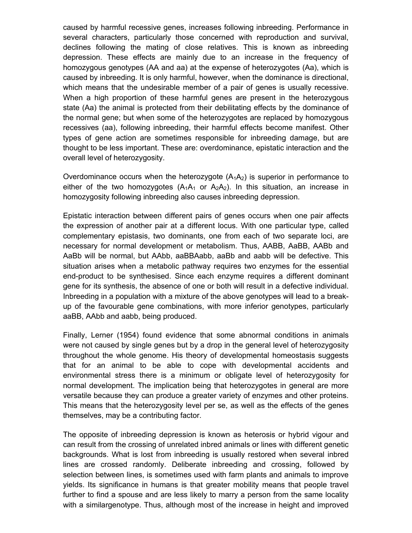caused by harmful recessive genes, increases following inbreeding. Performance in several characters, particularly those concerned with reproduction and survival, declines following the mating of close relatives. This is known as inbreeding depression. These effects are mainly due to an increase in the frequency of homozygous genotypes (AA and aa) at the expense of heterozygotes (Aa), which is caused by inbreeding. It is only harmful, however, when the dominance is directional, which means that the undesirable member of a pair of genes is usually recessive. When a high proportion of these harmful genes are present in the heterozygous state (Aa) the animal is protected from their debilitating effects by the dominance of the normal gene; but when some of the heterozygotes are replaced by homozygous recessives (aa), following inbreeding, their harmful effects become manifest. Other types of gene action are sometimes responsible for inbreeding damage, but are thought to be less important. These are: overdominance, epistatic interaction and the overall level of heterozygosity.

Overdominance occurs when the heterozygote  $(A_1A_2)$  is superior in performance to either of the two homozygotes  $(A_1A_1 \text{ or } A_2A_2)$ . In this situation, an increase in homozygosity following inbreeding also causes inbreeding depression.

Epistatic interaction between different pairs of genes occurs when one pair affects the expression of another pair at a different locus. With one particular type, called complementary epistasis, two dominants, one from each of two separate loci, are necessary for normal development or metabolism. Thus, AABB, AaBB, AABb and AaBb will be normal, but AAbb, aaBBAabb, aaBb and aabb will be defective. This situation arises when a metabolic pathway requires two enzymes for the essential end-product to be synthesised. Since each enzyme requires a different dominant gene for its synthesis, the absence of one or both will result in a defective individual. Inbreeding in a population with a mixture of the above genotypes will lead to a breakup of the favourable gene combinations, with more inferior genotypes, particularly aaBB, AAbb and aabb, being produced.

Finally, Lerner (1954) found evidence that some abnormal conditions in animals were not caused by single genes but by a drop in the general level of heterozygosity throughout the whole genome. His theory of developmental homeostasis suggests that for an animal to be able to cope with developmental accidents and environmental stress there is a minimum or obligate level of heterozygosity for normal development. The implication being that heterozygotes in general are more versatile because they can produce a greater variety of enzymes and other proteins. This means that the heterozygosity level per se, as well as the effects of the genes themselves, may be a contributing factor.

The opposite of inbreeding depression is known as heterosis or hybrid vigour and can result from the crossing of unrelated inbred animals or lines with different genetic backgrounds. What is lost from inbreeding is usually restored when several inbred lines are crossed randomly. Deliberate inbreeding and crossing, followed by selection between lines, is sometimes used with farm plants and animals to improve yields. Its significance in humans is that greater mobility means that people travel further to find a spouse and are less likely to marry a person from the same locality with a similargenotype. Thus, although most of the increase in height and improved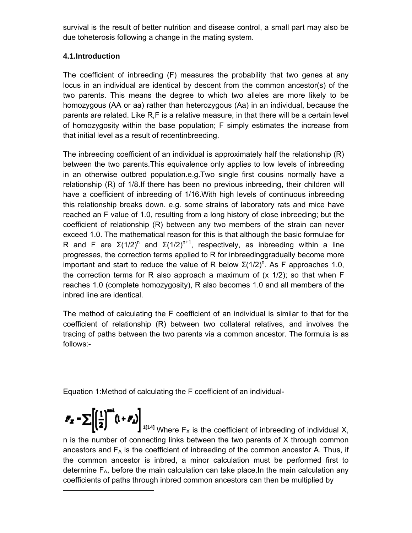survival is the result of better nutrition and disease control, a small part may also be due toheterosis following a change in the mating system.

## **4.1.Introduction**

The coefficient of inbreeding (F) measures the probability that two genes at any locus in an individual are identical by descent from the common ancestor(s) of the two parents. This means the degree to which two alleles are more likely to be homozygous (AA or aa) rather than heterozygous (Aa) in an individual, because the parents are related. Like R,F is a relative measure, in that there will be a certain level of homozygosity within the base population; F simply estimates the increase from that initial level as a result of recentinbreeding.

The inbreeding coefficient of an individual is approximately half the relationship (R) between the two parents.This equivalence only applies to low levels of inbreeding in an otherwise outbred population.e.g.Two single first cousins normally have a relationship (R) of 1/8.If there has been no previous inbreeding, their children will have a coefficient of inbreeding of 1/16.With high levels of continuous inbreeding this relationship breaks down. e.g. some strains of laboratory rats and mice have reached an F value of 1.0, resulting from a long history of close inbreeding; but the coefficient of relationship (R) between any two members of the strain can never exceed 1.0. The mathematical reason for this is that although the basic formulae for R and F are  $\Sigma(1/2)^n$  and  $\Sigma(1/2)^{n+1}$ , respectively, as inbreeding within a line progresses, the correction terms applied to R for inbreedinggradually become more important and start to reduce the value of R below  $\Sigma(1/2)^n$ . As F approaches 1.0, the correction terms for R also approach a maximum of  $(x 1/2)$ ; so that when F reaches 1.0 (complete homozygosity), R also becomes 1.0 and all members of the inbred line are identical.

The method of calculating the F coefficient of an individual is similar to that for the coefficient of relationship (R) between two collateral relatives, and involves the tracing of paths between the two parents via a common ancestor. The formula is as follows:-

Equation 1:Method of calculating the F coefficient of an individual-

<sup>1[14]</sup> Where  $F_X$  is the coefficient of inbreeding of individual X, n is the number of connecting links between the two parents of X through common ancestors and  $F_A$  is the coefficient of inbreeding of the common ancestor A. Thus, if the common ancestor is inbred, a minor calculation must be performed first to determine  $F_A$ , before the main calculation can take place. In the main calculation any coefficients of paths through inbred common ancestors can then be multiplied by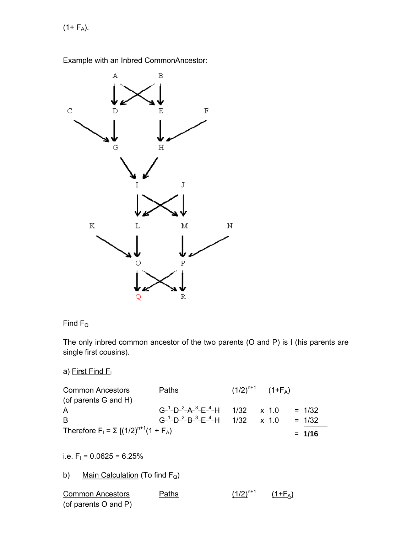$(1 + F_A)$ .



Example with an Inbred CommonAncestor:

# Find  $F_Q$

The only inbred common ancestor of the two parents (O and P) is I (his parents are single first cousins).

a) First Find F

| <b>Common Ancestors</b>                       | Paths                                                                     | $(1/2)^{n+1}$ $(1+F_{A})$ |  |          |
|-----------------------------------------------|---------------------------------------------------------------------------|---------------------------|--|----------|
| (of parents G and H)                          |                                                                           |                           |  |          |
| A                                             | $G^{-1}$ -D- <sup>2</sup> -A- <sup>3</sup> -E- <sup>4</sup> -H 1/32 x 1.0 |                           |  | $= 1/32$ |
| <b>B</b>                                      | $G^{-1}$ -D- <sup>2</sup> -B- <sup>3</sup> -E- <sup>4</sup> -H 1/32 x 1.0 |                           |  | $= 1/32$ |
| Therefore $F_1 = \sum [(1/2)^{n+1}(1 + F_A)]$ |                                                                           |                           |  | $= 1/16$ |

i.e.  $F_1 = 0.0625 = 6.25\%$ 

b) Main Calculation (To find  $F_Q$ )

| <b>Common Ancestors</b> | Paths | $(1/2)^{n+1}$ | $(1+F_A)$ |
|-------------------------|-------|---------------|-----------|
| (of parents O and P)    |       |               |           |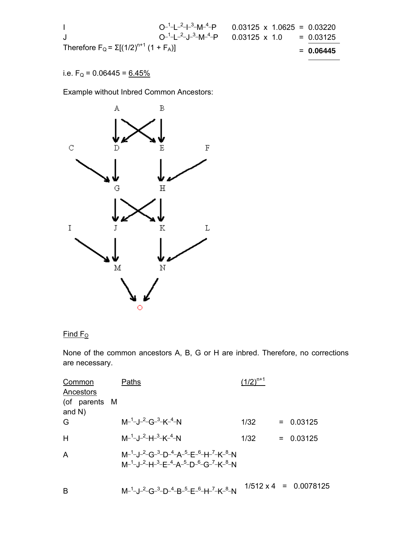$$
O^{-1} - L^{-2} - L^{-3} - M^{-4} - P
$$
  
\n
$$
O^{-1} - L^{-2} - J^{-3} - M^{-4} - P
$$
  
\n
$$
O^{-1} - L^{-2} - J^{-3} - M^{-4} - P
$$
  
\n
$$
O^{-1} - L^{-2} - J^{-3} - M^{-4} - P
$$
  
\n
$$
O^{-1} - L^{-2} - J^{-3} - M^{-4} - P
$$
  
\n
$$
O^{-1} - L^{-2} - J^{-3} - M^{-4} - P
$$
  
\n
$$
O^{-1} - L^{-2} - J^{-3} - M^{-4} - P
$$
  
\n
$$
O^{-1} - L^{-2} - J^{-3} - M^{-4} - P
$$
  
\n
$$
O^{-1} - L^{-2} - J^{-3} - M^{-4} - P
$$
  
\n
$$
O^{-1} - L^{-2} - J^{-3} - M^{-4} - P
$$
  
\n
$$
O^{-1} - L^{-2} - J^{-3} - M^{-4} - P
$$
  
\n
$$
O^{-1} - L^{-2} - J^{-3} - M^{-4} - P
$$
  
\n
$$
O^{-1} - L^{-2} - J^{-3} - M^{-4} - P
$$
  
\n
$$
O^{-1} - L^{-2} - J^{-3} - M^{-4} - P
$$
  
\n
$$
O^{-1} - L^{-2} - J^{-3} - M^{-4} - P
$$
  
\n
$$
O^{-1} - L^{-2} - J^{-3} - M^{-4} - P
$$
  
\n
$$
O^{-1} - L^{-2} - J^{-3} - M^{-4} - P
$$
  
\n
$$
O^{-1} - L^{-2} - J^{-3} - M^{-4} - P
$$
  
\n
$$
O^{-1} - L^{-2} - J^{-3} - M^{-4} - P
$$
  
\n
$$
O^{-1} - L^{-2} - J^{-3} - M^{-4} - P
$$
  
\n
$$
O^{-1} - L^{-2} - J^{-3} - M^{-4} - P
$$
  
\n
$$
O^{-1} - L^{-2} - J^{-3} - M^{-4} - P
$$
  
\n
$$
O^{-1} - L^{-2} - J^{-3} - M^{-4} - P
$$
  
\n

# i.e.  $F_Q = 0.06445 = 6.45\%$

Example without Inbred Common Ancestors:



## $Find F<sub>o</sub>$

None of the common ancestors A, B, G or H are inbred. Therefore, no corrections are necessary.

| <b>Common</b><br>Ancestors | Paths                                                                                                                                                                                                                                                                           | $(1/2)^{n+1}$ |                              |
|----------------------------|---------------------------------------------------------------------------------------------------------------------------------------------------------------------------------------------------------------------------------------------------------------------------------|---------------|------------------------------|
| (of parents M<br>and $N$ ) |                                                                                                                                                                                                                                                                                 |               |                              |
| G                          | $M^{-1}$ -J- <sup>2</sup> -G- <sup>3</sup> -K- <sup>4</sup> -N                                                                                                                                                                                                                  | 1/32          | $= 0.03125$                  |
| H                          | $M^{-1}$ -, J- <sup>2</sup> -H- <sup>3</sup> -K- <sup>4</sup> -N                                                                                                                                                                                                                | 1/32          | $= 0.03125$                  |
| $\overline{A}$             | M- <sup>1</sup> -J- <sup>2</sup> -G- <sup>3</sup> -D- <sup>4</sup> -A- <sup>5</sup> -E- <sup>6</sup> -H- <sup>7</sup> -K- <sup>8</sup> -N<br>$M^{-1}$ -J- <sup>2</sup> -H- <sup>3</sup> -E- <sup>4</sup> -A- <sup>5</sup> -D- <sup>6</sup> -G- <sup>7</sup> -K- <sup>8</sup> -N |               |                              |
| B                          | $M^{-1}$ -J- <sup>2</sup> -G- <sup>3</sup> -D- <sup>4</sup> -B- <sup>5</sup> -E- <sup>6</sup> -H- <sup>7</sup> -K- <sup>8</sup> -N                                                                                                                                              |               | $1/512 \times 4 = 0.0078125$ |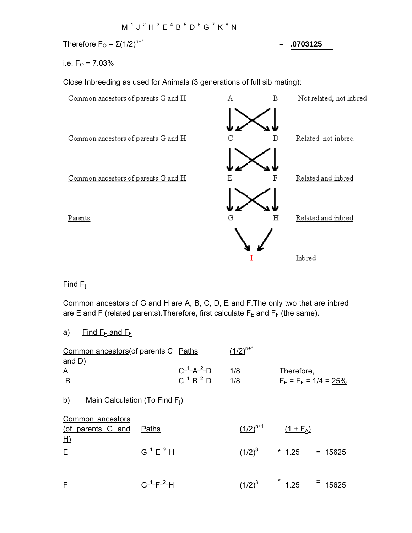$$
M^{-1} - J^{-2} - H^{-3} - E^{-4} - B^{-5} - D^{-6} - G^{-7} - K^{-8} - N
$$

Therefore  $F_{\text{O}} = \Sigma (1/2)^{n+1}$ 

= **.0703125**

i.e.  $F_0 = 7.03\%$ 

Close Inbreeding as used for Animals (3 generations of full sib mating):



## $Find F<sub>1</sub>$

Common ancestors of G and H are A, B, C, D, E and F.The only two that are inbred are E and F (related parents). Therefore, first calculate  $F_E$  and  $F_F$  (the same).

a) Find  $F_E$  and  $F_F$ 

| Common ancestors (of parents C Paths             |                              |                                                              | $(1/2)^{n+1}$ |                          |                         |
|--------------------------------------------------|------------------------------|--------------------------------------------------------------|---------------|--------------------------|-------------------------|
| and $D$ )<br>A<br>$\overline{B}$                 |                              | $C^{-1}$ -A <sup>-2</sup> -D<br>$C^{-1}$ -B- <sup>2</sup> -D | 1/8<br>1/8    | Therefore,               | $F_E = F_F = 1/4 = 25%$ |
| b)<br>Main Calculation (To Find F <sub>I</sub> ) |                              |                                                              |               |                          |                         |
| Common ancestors<br>(of parents G and<br>H)      | <b>Paths</b>                 |                                                              | $(1/2)^{n+1}$ | $(1 + F_A)$              |                         |
| E                                                | $G^{-1}$ -E <sup>-2</sup> -H |                                                              |               | $(1/2)^3$ * 1.25 = 15625 |                         |
| F                                                | $G^{-1} - F^{-2} - H$        |                                                              | $(1/2)^3$     | $*$ 1.25                 | Ξ.<br>15625             |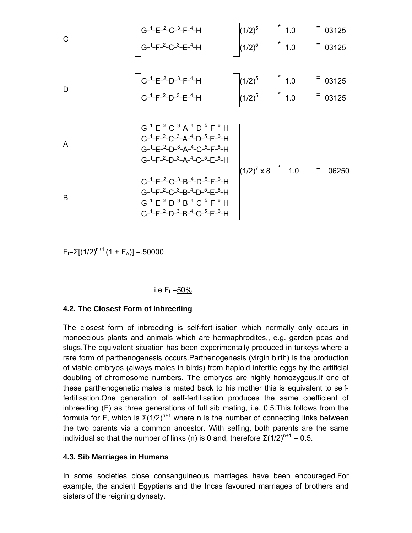C G\_1\_E\_2\_C\_3\_F\_4\_H (1/2)5 \* 1.0 = 03125 G\_1\_F\_2\_C\_3\_E\_4\_H (1/2)5 \* 1.0 = 03125 D G\_1\_E\_2\_D\_3\_F\_4\_H (1/2)5 \* 1.0 = 03125 G\_1\_F\_2\_D\_3\_E\_4\_H (1/2)5 \* 1.0 = 03125 A G\_1\_ E\_2\_ C\_3\_ A\_4\_ D\_5\_F\_6\_ H (1/2)<sup>7</sup> x 8 \* 1.0 = 06250 G\_1\_F\_2\_C\_3\_A\_4\_D\_5\_E\_6\_H G\_1\_ E\_2\_ D\_3\_ A\_4\_ C\_5\_F\_6\_ H G\_1\_F\_2\_D\_3\_A\_4\_C\_5\_E\_6\_H B G\_1\_ E\_2\_ C\_3\_ B\_4\_ D\_5\_F\_6\_ H G\_1\_F\_2\_C\_3\_B\_4\_D\_5\_E\_6\_H G\_1\_ E\_2\_ D\_3\_ B\_4\_ C\_5\_F\_6\_ H G\_1\_ F\_2\_ D\_3\_ B\_4\_ C\_5\_E\_6\_ H

 $F_1 = \Sigma [(1/2)^{n+1} (1 + F_A)] = .50000$ 

#### i.e  $F_1 = 50\%$

#### **4.2. The Closest Form of Inbreeding**

The closest form of inbreeding is self-fertilisation which normally only occurs in monoecious plants and animals which are hermaphrodites,, e.g. garden peas and slugs.The equivalent situation has been experimentally produced in turkeys where a rare form of parthenogenesis occurs.Parthenogenesis (virgin birth) is the production of viable embryos (always males in birds) from haploid infertile eggs by the artificial doubling of chromosome numbers. The embryos are highly homozygous.If one of these parthenogenetic males is mated back to his mother this is equivalent to selffertilisation.One generation of self-fertilisation produces the same coefficient of inbreeding (F) as three generations of full sib mating, i.e. 0.5.This follows from the formula for F, which is  $\Sigma(1/2)^{n+1}$  where n is the number of connecting links between the two parents via a common ancestor. With selfing, both parents are the same individual so that the number of links (n) is 0 and, therefore  $\Sigma(1/2)^{n+1} = 0.5$ .

#### **4.3. Sib Marriages in Humans**

In some societies close consanguineous marriages have been encouraged.For example, the ancient Egyptians and the Incas favoured marriages of brothers and sisters of the reigning dynasty.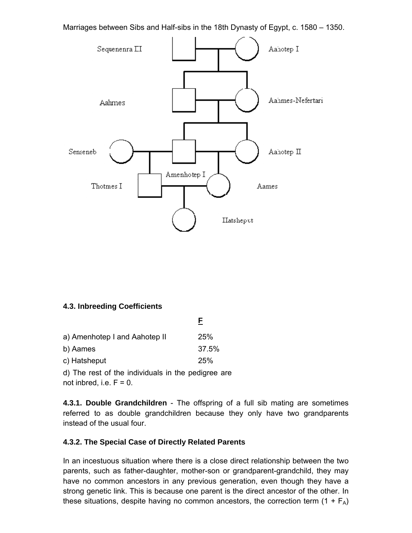Marriages between Sibs and Half-sibs in the 18th Dynasty of Egypt, c. 1580 – 1350.



#### **4.3. Inbreeding Coefficients**

| a) Amenhotep I and Aahotep II                                                 | 25%   |
|-------------------------------------------------------------------------------|-------|
| b) Aames                                                                      | 37.5% |
| c) Hatsheput                                                                  | 25%   |
| ومستلوم مرمور والملازمين والمتواطن والمرور والمواركة المتحدر والمتالي المراكب |       |

d) The rest of the individuals in the pedigree are not inbred, i.e.  $F = 0$ .

**4.3.1. Double Grandchildren** - The offspring of a full sib mating are sometimes referred to as double grandchildren because they only have two grandparents instead of the usual four.

#### **4.3.2. The Special Case of Directly Related Parents**

In an incestuous situation where there is a close direct relationship between the two parents, such as father-daughter, mother-son or grandparent-grandchild, they may have no common ancestors in any previous generation, even though they have a strong genetic link. This is because one parent is the direct ancestor of the other. In these situations, despite having no common ancestors, the correction term  $(1 + F_A)$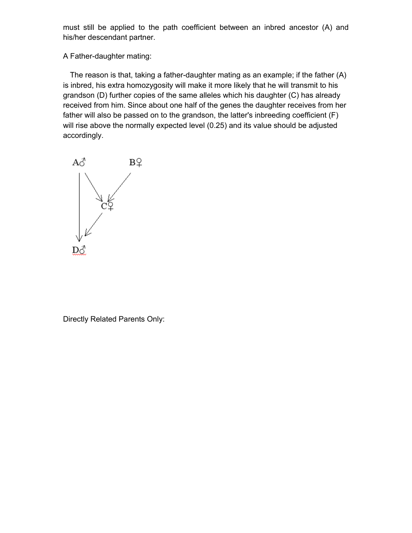must still be applied to the path coefficient between an inbred ancestor (A) and his/her descendant partner.

A Father-daughter mating:

The reason is that, taking a father-daughter mating as an example; if the father (A) is inbred, his extra homozygosity will make it more likely that he will transmit to his grandson (D) further copies of the same alleles which his daughter (C) has already received from him. Since about one half of the genes the daughter receives from her father will also be passed on to the grandson, the latter's inbreeding coefficient (F) will rise above the normally expected level (0.25) and its value should be adjusted accordingly.

$$
\begin{array}{c}\nA\delta \\
\downarrow \\
C\varphi\n\end{array}
$$

Directly Related Parents Only: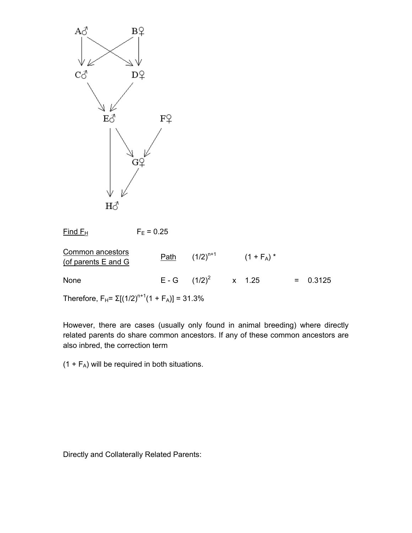

 $Find F<sub>H</sub>$  F<sub>E</sub> = 0.25</u> Common ancestors <u>Common ancestors</u><br>(of parents E and G  $\frac{\text{Path}}{\text{(1/2)}^{n+1}}$  (1 + F<sub>A</sub>) \* None E - G  $(1/2)^2$  x 1.25 = 0.3125

Therefore,  $F_H = \Sigma[(1/2)^{n+1}(1 + F_A)] = 31.3\%$ 

However, there are cases (usually only found in animal breeding) where directly related parents do share common ancestors. If any of these common ancestors are also inbred, the correction term

 $(1 + F_A)$  will be required in both situations.

Directly and Collaterally Related Parents: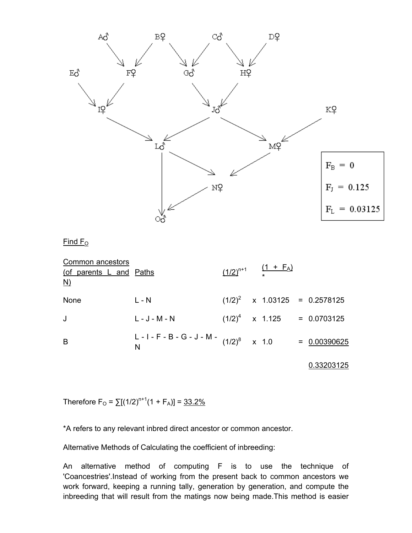

 $Find F<sub>O</sub>$ 

| Common ancestors<br>(of parents L and Paths<br>$\underline{\mathsf{N}}$ |                                             |  | $\frac{(1/2)^{n+1}}{n+1}$ $\frac{(1 + F_A)}{n+1}$ |                                 |
|-------------------------------------------------------------------------|---------------------------------------------|--|---------------------------------------------------|---------------------------------|
| None                                                                    | $L - N$                                     |  |                                                   | $(1/2)^2$ x 1.03125 = 0.2578125 |
| J                                                                       | $L - J - M - N$                             |  |                                                   | $(1/2)^4$ x 1.125 = 0.0703125   |
| B                                                                       | L - I - F - B - G - J - M - $(1/2)^8$ x 1.0 |  |                                                   | $= 0.00390625$                  |

0.33203125

Therefore  $F_{\rm O} = \sum [(1/2)^{n+1}(1 + F_{\rm A})] = \frac{33.2\%}{n+1}$ 

\*A refers to any relevant inbred direct ancestor or common ancestor.

Alternative Methods of Calculating the coefficient of inbreeding:

An alternative method of computing F is to use the technique of 'Coancestries'.Instead of working from the present back to common ancestors we work forward, keeping a running tally, generation by generation, and compute the inbreeding that will result from the matings now being made.This method is easier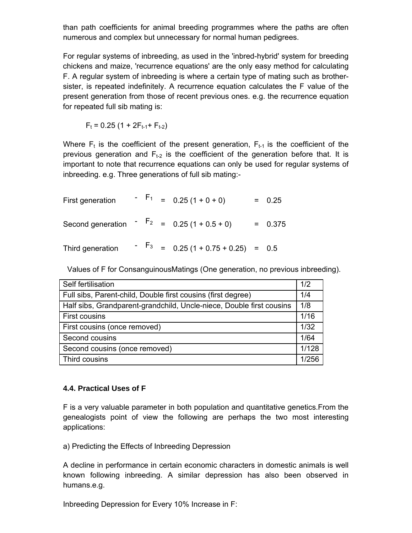than path coefficients for animal breeding programmes where the paths are often numerous and complex but unnecessary for normal human pedigrees.

For regular systems of inbreeding, as used in the 'inbred-hybrid' system for breeding chickens and maize, 'recurrence equations' are the only easy method for calculating F. A regular system of inbreeding is where a certain type of mating such as brothersister, is repeated indefinitely. A recurrence equation calculates the F value of the present generation from those of recent previous ones. e.g. the recurrence equation for repeated full sib mating is:

$$
F_t = 0.25 (1 + 2F_{t-1} + F_{t-2})
$$

Where  $F_t$  is the coefficient of the present generation,  $F_{t-1}$  is the coefficient of the previous generation and  $F_{t-2}$  is the coefficient of the generation before that. It is important to note that recurrence equations can only be used for regular systems of inbreeding. e.g. Three generations of full sib mating:-

| First generation                                        |  | $-F_1 = 0.25(1+0+0)$                              | $= 0.25$  |
|---------------------------------------------------------|--|---------------------------------------------------|-----------|
| Second generation $\overline{F}_2 = 0.25 (1 + 0.5 + 0)$ |  |                                                   | $= 0.375$ |
| Third generation                                        |  | $-$ F <sub>3</sub> = 0.25 (1 + 0.75 + 0.25) = 0.5 |           |

Values of F for ConsanguinousMatings (One generation, no previous inbreeding).

| Self fertilisation                                                   | 1/2   |  |  |  |
|----------------------------------------------------------------------|-------|--|--|--|
| Full sibs, Parent-child, Double first cousins (first degree)         |       |  |  |  |
| Half sibs, Grandparent-grandchild, Uncle-niece, Double first cousins | 1/8   |  |  |  |
| <b>First cousins</b>                                                 | 1/16  |  |  |  |
| First cousins (once removed)                                         | 1/32  |  |  |  |
| Second cousins                                                       | 1/64  |  |  |  |
| Second cousins (once removed)                                        | 1/128 |  |  |  |
| Third cousins                                                        | 1/256 |  |  |  |

## **4.4. Practical Uses of F**

F is a very valuable parameter in both population and quantitative genetics.From the genealogists point of view the following are perhaps the two most interesting applications:

a) Predicting the Effects of Inbreeding Depression

A decline in performance in certain economic characters in domestic animals is well known following inbreeding. A similar depression has also been observed in humans.e.g.

Inbreeding Depression for Every 10% Increase in F: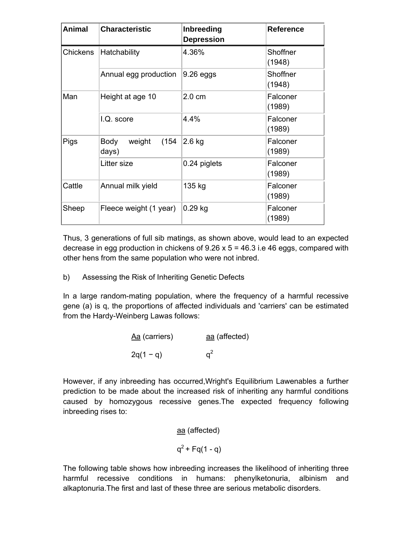| <b>Animal</b> | <b>Characteristic</b>            | Inbreeding<br><b>Depression</b> | <b>Reference</b>   |
|---------------|----------------------------------|---------------------------------|--------------------|
| Chickens      | Hatchability                     | 4.36%                           | Shoffner<br>(1948) |
|               | Annual egg production            | $9.26$ eggs                     | Shoffner<br>(1948) |
| Man           | Height at age 10                 | $2.0 \text{ cm}$                | Falconer<br>(1989) |
|               | I.Q. score                       | 4.4%                            | Falconer<br>(1989) |
| Pigs          | weight<br>(154)<br>Body<br>days) | $2.6$ kg                        | Falconer<br>(1989) |
|               | Litter size                      | 0.24 piglets                    | Falconer<br>(1989) |
| Cattle        | Annual milk yield                | 135 kg                          | Falconer<br>(1989) |
| Sheep         | Fleece weight (1 year)           | $0.29$ kg                       | Falconer<br>(1989) |

Thus, 3 generations of full sib matings, as shown above, would lead to an expected decrease in egg production in chickens of  $9.26 \times 5 = 46.3$  i.e 46 eggs, compared with other hens from the same population who were not inbred.

b) Assessing the Risk of Inheriting Genetic Defects

In a large random-mating population, where the frequency of a harmful recessive gene (a) is q, the proportions of affected individuals and 'carriers' can be estimated from the Hardy-Weinberg Lawas follows:

| Aa (carriers) | aa (affected) |  |  |
|---------------|---------------|--|--|
| $2q(1 - q)$   | $a^2$         |  |  |

However, if any inbreeding has occurred,Wright's Equilibrium Lawenables a further prediction to be made about the increased risk of inheriting any harmful conditions caused by homozygous recessive genes.The expected frequency following inbreeding rises to:

aa (affected)

$$
q^2 + Fq(1 - q)
$$

The following table shows how inbreeding increases the likelihood of inheriting three harmful recessive conditions in humans: phenylketonuria, albinism and alkaptonuria.The first and last of these three are serious metabolic disorders.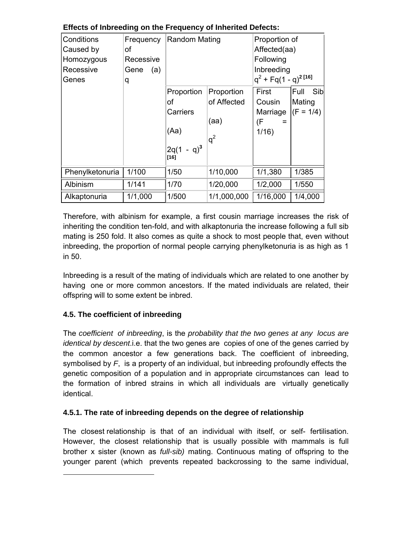| Conditions<br>Caused by<br>Homozygous<br>Recessive<br>Genes | Frequency<br>οf<br>Recessive<br>(a)<br>Gene<br>q | <b>Random Mating</b>                                  |                                            | Proportion of<br>Affected(aa)<br>Following<br>Inbreeding<br>$q^2$ + Fq(1 - q) <sup>2 [16]</sup> |                                      |
|-------------------------------------------------------------|--------------------------------------------------|-------------------------------------------------------|--------------------------------------------|-------------------------------------------------------------------------------------------------|--------------------------------------|
|                                                             |                                                  | Proportion<br>οf<br>Carriers<br>(Aa)<br>$2q(1 - q)^3$ | Proportion<br>of Affected<br>(aa)<br>$q^2$ | First<br>Cousin<br>Marriage<br>(F<br>1/16                                                       | Full<br>Sib<br>Mating<br>$(F = 1/4)$ |
| Phenylketonuria                                             | 1/100                                            | $[16]$<br>1/50                                        | 1/10,000                                   | 1/1,380                                                                                         | 1/385                                |
| Albinism                                                    | 1/141                                            | 1/70                                                  | 1/20,000                                   | 1/2,000                                                                                         | 1/550                                |
| Alkaptonuria                                                | 1/1,000                                          | 1/500                                                 | 1/1,000,000                                | 1/16,000                                                                                        | 1/4,000                              |

## **Effects of Inbreeding on the Frequency of Inherited Defects:**

Therefore, with albinism for example, a first cousin marriage increases the risk of inheriting the condition ten-fold, and with alkaptonuria the increase following a full sib mating is 250 fold. It also comes as quite a shock to most people that, even without inbreeding, the proportion of normal people carrying phenylketonuria is as high as 1 in 50.

Inbreeding is a result of the mating of individuals which are related to one another by having one or more common ancestors. If the mated individuals are related, their offspring will to some extent be inbred.

## **4.5. The coefficient of inbreeding**

The *coefficient of inbreeding*, is the *probability that the two genes at any locus are identical by descent*.i.e. that the two genes are copies of one of the genes carried by the common ancestor a few generations back. The coefficient of inbreeding, symbolised by *F*, is a property of an individual, but inbreeding profoundly effects the genetic composition of a population and in appropriate circumstances can lead to the formation of inbred strains in which all individuals are virtually genetically identical.

## **4.5.1. The rate of inbreeding depends on the degree of relationship**

The closest relationship is that of an individual with itself, or self- fertilisation. However, the closest relationship that is usually possible with mammals is full brother x sister (known as *full-sib)* mating. Continuous mating of offspring to the younger parent (which prevents repeated backcrossing to the same individual,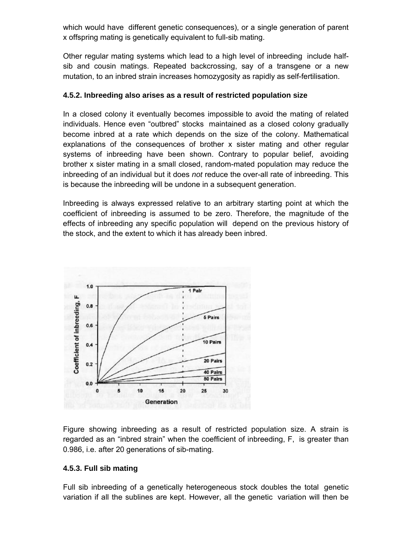which would have different genetic consequences), or a single generation of parent x offspring mating is genetically equivalent to full-sib mating.

Other regular mating systems which lead to a high level of inbreeding include halfsib and cousin matings. Repeated backcrossing, say of a transgene or a new mutation, to an inbred strain increases homozygosity as rapidly as self-fertilisation.

#### **4.5.2. Inbreeding also arises as a result of restricted population size**

In a closed colony it eventually becomes impossible to avoid the mating of related individuals. Hence even "outbred" stocks maintained as a closed colony gradually become inbred at a rate which depends on the size of the colony. Mathematical explanations of the consequences of brother x sister mating and other regular systems of inbreeding have been shown. Contrary to popular belief, avoiding brother x sister mating in a small closed, random-mated population may reduce the inbreeding of an individual but it does *not* reduce the over-all rate of inbreeding. This is because the inbreeding will be undone in a subsequent generation.

Inbreeding is always expressed relative to an arbitrary starting point at which the coefficient of inbreeding is assumed to be zero. Therefore, the magnitude of the effects of inbreeding any specific population will depend on the previous history of the stock, and the extent to which it has already been inbred.



Figure showing inbreeding as a result of restricted population size. A strain is regarded as an "inbred strain" when the coefficient of inbreeding, F, is greater than 0.986, i.e. after 20 generations of sib-mating.

## **4.5.3. Full sib mating**

Full sib inbreeding of a genetically heterogeneous stock doubles the total genetic variation if all the sublines are kept. However, all the genetic variation will then be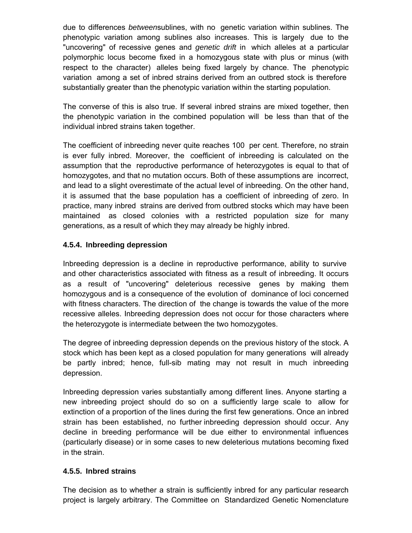due to differences *between*sublines, with no genetic variation within sublines. The phenotypic variation among sublines also increases. This is largely due to the "uncovering" of recessive genes and *genetic drift* in which alleles at a particular polymorphic locus become fixed in a homozygous state with plus or minus (with respect to the character) alleles being fixed largely by chance. The phenotypic variation among a set of inbred strains derived from an outbred stock is therefore substantially greater than the phenotypic variation within the starting population.

The converse of this is also true. If several inbred strains are mixed together, then the phenotypic variation in the combined population will be less than that of the individual inbred strains taken together.

The coefficient of inbreeding never quite reaches 100 per cent. Therefore, no strain is ever fully inbred. Moreover, the coefficient of inbreeding is calculated on the assumption that the reproductive performance of heterozygotes is equal to that of homozygotes, and that no mutation occurs. Both of these assumptions are incorrect, and lead to a slight overestimate of the actual level of inbreeding. On the other hand, it is assumed that the base population has a coefficient of inbreeding of zero. In practice, many inbred strains are derived from outbred stocks which may have been maintained as closed colonies with a restricted population size for many generations, as a result of which they may already be highly inbred.

## **4.5.4. Inbreeding depression**

Inbreeding depression is a decline in reproductive performance, ability to survive and other characteristics associated with fitness as a result of inbreeding. It occurs as a result of "uncovering" deleterious recessive genes by making them homozygous and is a consequence of the evolution of dominance of loci concerned with fitness characters. The direction of the change is towards the value of the more recessive alleles. Inbreeding depression does not occur for those characters where the heterozygote is intermediate between the two homozygotes.

The degree of inbreeding depression depends on the previous history of the stock. A stock which has been kept as a closed population for many generations will already be partly inbred; hence, full-sib mating may not result in much inbreeding depression.

Inbreeding depression varies substantially among different lines. Anyone starting a new inbreeding project should do so on a sufficiently large scale to allow for extinction of a proportion of the lines during the first few generations. Once an inbred strain has been established, no further inbreeding depression should occur. Any decline in breeding performance will be due either to environmental influences (particularly disease) or in some cases to new deleterious mutations becoming fixed in the strain.

## **4.5.5. Inbred strains**

The decision as to whether a strain is sufficiently inbred for any particular research project is largely arbitrary. The Committee on Standardized Genetic Nomenclature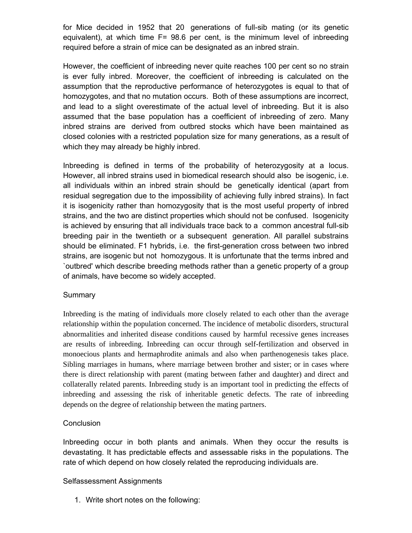for Mice decided in 1952 that 20 generations of full-sib mating (or its genetic equivalent), at which time  $F= 98.6$  per cent, is the minimum level of inbreeding required before a strain of mice can be designated as an inbred strain.

However, the coefficient of inbreeding never quite reaches 100 per cent so no strain is ever fully inbred. Moreover, the coefficient of inbreeding is calculated on the assumption that the reproductive performance of heterozygotes is equal to that of homozygotes, and that no mutation occurs. Both of these assumptions are incorrect, and lead to a slight overestimate of the actual level of inbreeding. But it is also assumed that the base population has a coefficient of inbreeding of zero. Many inbred strains are derived from outbred stocks which have been maintained as closed colonies with a restricted population size for many generations, as a result of which they may already be highly inbred.

Inbreeding is defined in terms of the probability of heterozygosity at a locus. However, all inbred strains used in biomedical research should also be isogenic, i.e. all individuals within an inbred strain should be genetically identical (apart from residual segregation due to the impossibility of achieving fully inbred strains). In fact it is isogenicity rather than homozygosity that is the most useful property of inbred strains, and the two are distinct properties which should not be confused. Isogenicity is achieved by ensuring that all individuals trace back to a common ancestral full-sib breeding pair in the twentieth or a subsequent generation. All parallel substrains should be eliminated. F1 hybrids, i.e. the first-generation cross between two inbred strains, are isogenic but not homozygous. It is unfortunate that the terms inbred and `outbred' which describe breeding methods rather than a genetic property of a group of animals, have become so widely accepted.

## Summary

Inbreeding is the mating of individuals more closely related to each other than the average relationship within the population concerned. The incidence of metabolic disorders, structural abnormalities and inherited disease conditions caused by harmful recessive genes increases are results of inbreeding. Inbreeding can occur through self-fertilization and observed in monoecious plants and hermaphrodite animals and also when parthenogenesis takes place. Sibling marriages in humans, where marriage between brother and sister; or in cases where there is direct relationship with parent (mating between father and daughter) and direct and collaterally related parents. Inbreeding study is an important tool in predicting the effects of inbreeding and assessing the risk of inheritable genetic defects. The rate of inbreeding depends on the degree of relationship between the mating partners.

## **Conclusion**

Inbreeding occur in both plants and animals. When they occur the results is devastating. It has predictable effects and assessable risks in the populations. The rate of which depend on how closely related the reproducing individuals are.

#### Selfassessment Assignments

1. Write short notes on the following: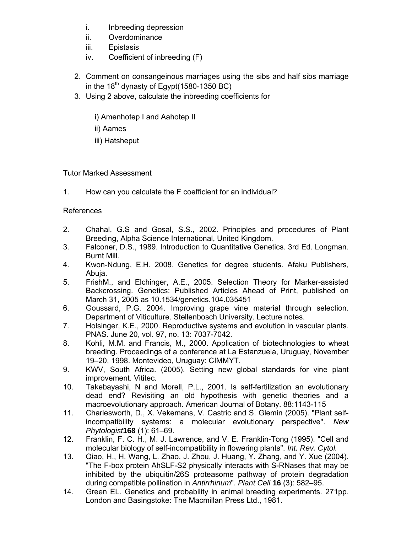- i. Inbreeding depression
- ii. Overdominance
- iii. Epistasis
- iv. Coefficient of inbreeding (F)
- 2. Comment on consangeinous marriages using the sibs and half sibs marriage in the  $18<sup>th</sup>$  dynasty of Egypt(1580-1350 BC)
- 3. Using 2 above, calculate the inbreeding coefficients for

i) Amenhotep I and Aahotep II

- ii) Aames
- iii) Hatsheput

Tutor Marked Assessment

1. How can you calculate the F coefficient for an individual?

References

- 2. Chahal, G.S and Gosal, S.S., 2002. Principles and procedures of Plant Breeding, Alpha Science International, United Kingdom.
- 3. Falconer, D.S., 1989. Introduction to Quantitative Genetics. 3rd Ed. Longman. Burnt Mill.
- 4. Kwon-Ndung, E.H. 2008. Genetics for degree students. Afaku Publishers, Abuja.
- 5. FrishM., and Elchinger, A.E., 2005. Selection Theory for Marker-assisted Backcrossing. Genetics: Published Articles Ahead of Print, published on March 31, 2005 as 10.1534/genetics.104.035451
- 6. Goussard, P.G. 2004. Improving grape vine material through selection. Department of Viticulture. Stellenbosch University. Lecture notes.
- 7. Holsinger, K.E., 2000. Reproductive systems and evolution in vascular plants. PNAS. June 20, vol. 97, no. 13: 7037-7042.
- 8. Kohli, M.M. and Francis, M., 2000. Application of biotechnologies to wheat breeding. Proceedings of a conference at La Estanzuela, Uruguay, November 19–20, 1998. Montevideo, Uruguay: CIMMYT.
- 9. KWV, South Africa. (2005). Setting new global standards for vine plant improvement. Vititec.
- 10. Takebayashi, N and Morell, P.L., 2001. Is self-fertilization an evolutionary dead end? Revisiting an old hypothesis with genetic theories and a macroevolutionary approach. American Journal of Botany. 88:1143-115
- 11. Charlesworth, D., X. Vekemans, V. Castric and S. Glemin (2005). "Plant selfincompatibility systems: a molecular evolutionary perspective". *New Phytologist***168** (1): 61–69.
- 12. Franklin, F. C. H., M. J. Lawrence, and V. E. Franklin-Tong (1995). "Cell and molecular biology of self-incompatibility in flowering plants". *Int. Rev. Cytol.*
- 13. Qiao, H., H. Wang, L. Zhao, J. Zhou, J. Huang, Y. Zhang, and Y. Xue (2004). "The F-box protein AhSLF-S2 physically interacts with S-RNases that may be inhibited by the ubiquitin/26S proteasome pathway of protein degradation during compatible pollination in *Antirrhinum*". *Plant Cell* **16** (3): 582–95.
- 14. Green EL. Genetics and probability in animal breeding experiments. 271pp. London and Basingstoke: The Macmillan Press Ltd., 1981.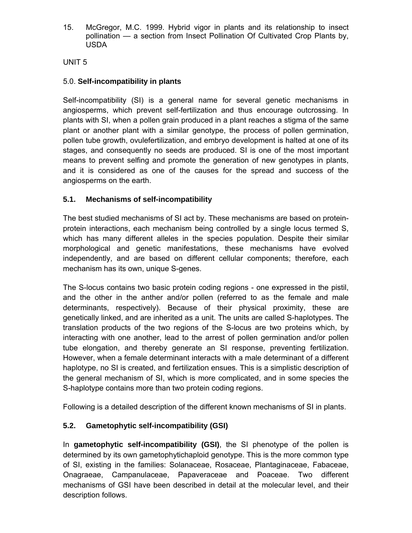15. McGregor, M.C. 1999. Hybrid vigor in plants and its relationship to insect pollination — a section from Insect Pollination Of Cultivated Crop Plants by, USDA

UNIT 5

## 5.0. **Self-incompatibility in plants**

Self-incompatibility (SI) is a general name for several genetic mechanisms in angiosperms, which prevent self-fertilization and thus encourage outcrossing. In plants with SI, when a pollen grain produced in a plant reaches a stigma of the same plant or another plant with a similar genotype, the process of pollen germination, pollen tube growth, ovulefertilization, and embryo development is halted at one of its stages, and consequently no seeds are produced. SI is one of the most important means to prevent selfing and promote the generation of new genotypes in plants, and it is considered as one of the causes for the spread and success of the angiosperms on the earth.

## **5.1. Mechanisms of self-incompatibility**

The best studied mechanisms of SI act by. These mechanisms are based on proteinprotein interactions, each mechanism being controlled by a single locus termed S, which has many different alleles in the species population. Despite their similar morphological and genetic manifestations, these mechanisms have evolved independently, and are based on different cellular components; therefore, each mechanism has its own, unique S-genes.

The S-locus contains two basic protein coding regions - one expressed in the pistil, and the other in the anther and/or pollen (referred to as the female and male determinants, respectively). Because of their physical proximity, these are genetically linked, and are inherited as a unit. The units are called S-haplotypes. The translation products of the two regions of the S-locus are two proteins which, by interacting with one another, lead to the arrest of pollen germination and/or pollen tube elongation, and thereby generate an SI response, preventing fertilization. However, when a female determinant interacts with a male determinant of a different haplotype, no SI is created, and fertilization ensues. This is a simplistic description of the general mechanism of SI, which is more complicated, and in some species the S-haplotype contains more than two protein coding regions.

Following is a detailed description of the different known mechanisms of SI in plants.

## **5.2. Gametophytic self-incompatibility (GSI)**

In **gametophytic self-incompatibility (GSI)**, the SI phenotype of the pollen is determined by its own gametophytichaploid genotype. This is the more common type of SI, existing in the families: Solanaceae, Rosaceae, Plantaginaceae, Fabaceae, Onagraeae, Campanulaceae, Papaveraceae and Poaceae. Two different mechanisms of GSI have been described in detail at the molecular level, and their description follows.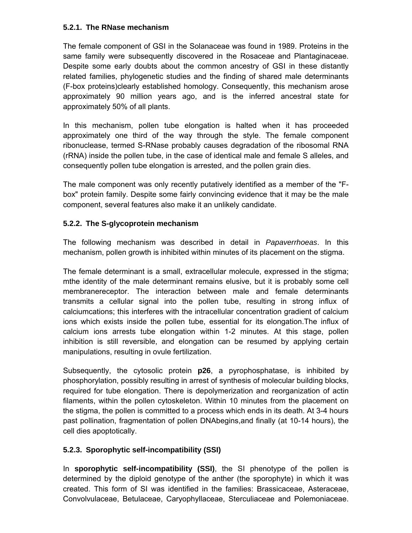## **5.2.1. The RNase mechanism**

The female component of GSI in the Solanaceae was found in 1989. Proteins in the same family were subsequently discovered in the Rosaceae and Plantaginaceae. Despite some early doubts about the common ancestry of GSI in these distantly related families, phylogenetic studies and the finding of shared male determinants (F-box proteins)clearly established homology. Consequently, this mechanism arose approximately 90 million years ago, and is the inferred ancestral state for approximately 50% of all plants.

In this mechanism, pollen tube elongation is halted when it has proceeded approximately one third of the way through the style. The female component ribonuclease, termed S-RNase probably causes degradation of the ribosomal RNA (rRNA) inside the pollen tube, in the case of identical male and female S alleles, and consequently pollen tube elongation is arrested, and the pollen grain dies.

The male component was only recently putatively identified as a member of the "Fbox" protein family. Despite some fairly convincing evidence that it may be the male component, several features also make it an unlikely candidate.

## **5.2.2. The S-glycoprotein mechanism**

The following mechanism was described in detail in *Papaverrhoeas*. In this mechanism, pollen growth is inhibited within minutes of its placement on the stigma.

The female determinant is a small, extracellular molecule, expressed in the stigma; mthe identity of the male determinant remains elusive, but it is probably some cell membranereceptor. The interaction between male and female determinants transmits a cellular signal into the pollen tube, resulting in strong influx of calciumcations; this interferes with the intracellular concentration gradient of calcium ions which exists inside the pollen tube, essential for its elongation.The influx of calcium ions arrests tube elongation within 1-2 minutes. At this stage, pollen inhibition is still reversible, and elongation can be resumed by applying certain manipulations, resulting in ovule fertilization.

Subsequently, the cytosolic protein **p26**, a pyrophosphatase, is inhibited by phosphorylation, possibly resulting in arrest of synthesis of molecular building blocks, required for tube elongation. There is depolymerization and reorganization of actin filaments, within the pollen cytoskeleton. Within 10 minutes from the placement on the stigma, the pollen is committed to a process which ends in its death. At 3-4 hours past pollination, fragmentation of pollen DNAbegins,and finally (at 10-14 hours), the cell dies apoptotically.

## **5.2.3. Sporophytic self-incompatibility (SSI)**

In **sporophytic self-incompatibility (SSI)**, the SI phenotype of the pollen is determined by the diploid genotype of the anther (the sporophyte) in which it was created. This form of SI was identified in the families: Brassicaceae, Asteraceae, Convolvulaceae, Betulaceae, Caryophyllaceae, Sterculiaceae and Polemoniaceae.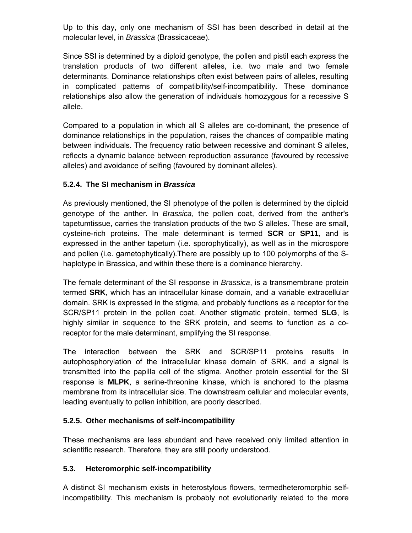Up to this day, only one mechanism of SSI has been described in detail at the molecular level, in *Brassica* (Brassicaceae).

Since SSI is determined by a diploid genotype, the pollen and pistil each express the translation products of two different alleles, i.e. two male and two female determinants. Dominance relationships often exist between pairs of alleles, resulting in complicated patterns of compatibility/self-incompatibility. These dominance relationships also allow the generation of individuals homozygous for a recessive S allele.

Compared to a population in which all S alleles are co-dominant, the presence of dominance relationships in the population, raises the chances of compatible mating between individuals. The frequency ratio between recessive and dominant S alleles, reflects a dynamic balance between reproduction assurance (favoured by recessive alleles) and avoidance of selfing (favoured by dominant alleles).

## **5.2.4. The SI mechanism in** *Brassica*

As previously mentioned, the SI phenotype of the pollen is determined by the diploid genotype of the anther. In *Brassica*, the pollen coat, derived from the anther's tapetumtissue, carries the translation products of the two S alleles. These are small, cysteine-rich proteins. The male determinant is termed **SCR** or **SP11**, and is expressed in the anther tapetum (i.e. sporophytically), as well as in the microspore and pollen (i.e. gametophytically).There are possibly up to 100 polymorphs of the Shaplotype in Brassica, and within these there is a dominance hierarchy.

The female determinant of the SI response in *Brassica*, is a transmembrane protein termed **SRK**, which has an intracellular kinase domain, and a variable extracellular domain. SRK is expressed in the stigma, and probably functions as a receptor for the SCR/SP11 protein in the pollen coat. Another stigmatic protein, termed **SLG**, is highly similar in sequence to the SRK protein, and seems to function as a coreceptor for the male determinant, amplifying the SI response.

The interaction between the SRK and SCR/SP11 proteins results in autophosphorylation of the intracellular kinase domain of SRK, and a signal is transmitted into the papilla cell of the stigma. Another protein essential for the SI response is **MLPK**, a serine-threonine kinase, which is anchored to the plasma membrane from its intracellular side. The downstream cellular and molecular events, leading eventually to pollen inhibition, are poorly described.

## **5.2.5. Other mechanisms of self-incompatibility**

These mechanisms are less abundant and have received only limited attention in scientific research. Therefore, they are still poorly understood.

## **5.3. Heteromorphic self-incompatibility**

A distinct SI mechanism exists in heterostylous flowers, termedheteromorphic selfincompatibility. This mechanism is probably not evolutionarily related to the more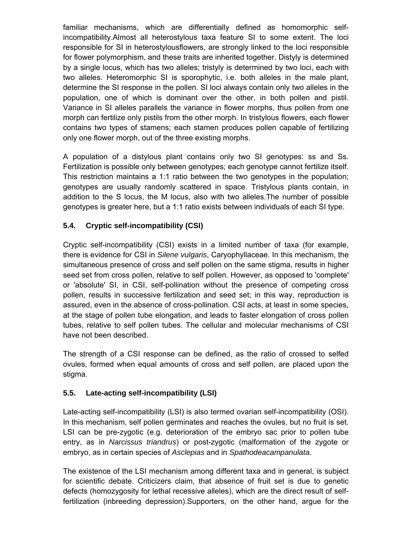familiar mechanisms, which are differentially defined as homomorphic selfincompatibility.Almost all heterostylous taxa feature SI to some extent. The loci responsible for SI in heterostylousflowers, are strongly linked to the loci responsible for flower polymorphism, and these traits are inherited together. Distyly is determined by a single locus, which has two alleles; tristyly is determined by two loci, each with two alleles. Heteromorphic SI is sporophytic, i.e. both alleles in the male plant, determine the SI response in the pollen. SI loci always contain only two alleles in the population, one of which is dominant over the other, in both pollen and pistil. Variance in SI alleles parallels the variance in flower morphs, thus pollen from one morph can fertilize only pistils from the other morph. In tristylous flowers, each flower contains two types of stamens; each stamen produces pollen capable of fertilizing only one flower morph, out of the three existing morphs.

A population of a distylous plant contains only two SI genotypes: ss and Ss. Fertilization is possible only between genotypes; each genotype cannot fertilize itself. This restriction maintains a 1:1 ratio between the two genotypes in the population; genotypes are usually randomly scattered in space. Tristylous plants contain, in addition to the S locus, the M locus, also with two alleles.The number of possible genotypes is greater here, but a 1:1 ratio exists between individuals of each SI type.

## **5.4. Cryptic self-incompatibility (CSI)**

Cryptic self-incompatibility (CSI) exists in a limited number of taxa (for example, there is evidence for CSI in *Silene vulgaris*, Caryophyllaceae. In this mechanism, the simultaneous presence of cross and self pollen on the same stigma, results in higher seed set from cross pollen, relative to self pollen. However, as opposed to 'complete' or 'absolute' SI, in CSI, self-pollination without the presence of competing cross pollen, results in successive fertilization and seed set; in this way, reproduction is assured, even in the absence of cross-pollination. CSI acts, at least in some species, at the stage of pollen tube elongation, and leads to faster elongation of cross pollen tubes, relative to self pollen tubes. The cellular and molecular mechanisms of CSI have not been described.

The strength of a CSI response can be defined, as the ratio of crossed to selfed ovules, formed when equal amounts of cross and self pollen, are placed upon the stigma.

## **5.5. Late-acting self-incompatibility (LSI)**

Late-acting self-incompatibility (LSI) is also termed ovarian self-incompatibility (OSI). In this mechanism, self pollen germinates and reaches the ovules, but no fruit is set. LSI can be pre-zygotic (e.g. deterioration of the embryo sac prior to pollen tube entry, as in *Narcissus triandrus*) or post-zygotic (malformation of the zygote or embryo, as in certain species of *Asclepias* and in *Spathodeacampanulata*.

The existence of the LSI mechanism among different taxa and in general, is subject for scientific debate. Criticizers claim, that absence of fruit set is due to genetic defects (homozygosity for lethal recessive alleles), which are the direct result of selffertilization (inbreeding depression).Supporters, on the other hand, argue for the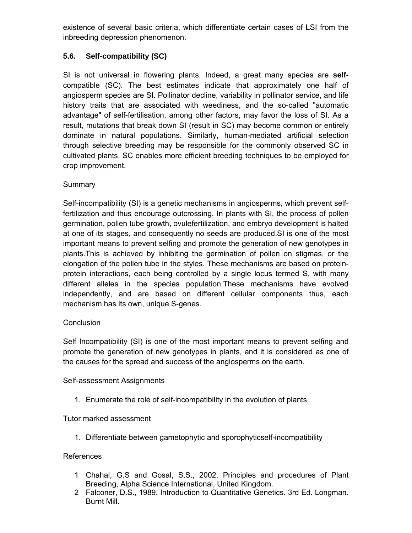existence of several basic criteria, which differentiate certain cases of LSI from the inbreeding depression phenomenon.

## **5.6. Self-compatibility (SC)**

SI is not universal in flowering plants. Indeed, a great many species are **self**compatible (SC). The best estimates indicate that approximately one half of angiosperm species are SI. Pollinator decline, variability in pollinator service, and life history traits that are associated with weediness, and the so-called "automatic advantage" of self-fertilisation, among other factors, may favor the loss of SI. As a result, mutations that break down SI (result in SC) may become common or entirely dominate in natural populations. Similarly, human-mediated artificial selection through selective breeding may be responsible for the commonly observed SC in cultivated plants. SC enables more efficient breeding techniques to be employed for crop improvement.

## **Summary**

Self-incompatibility (SI) is a genetic mechanisms in angiosperms, which prevent selffertilization and thus encourage outcrossing. In plants with SI, the process of pollen germination, pollen tube growth, ovulefertilization, and embryo development is halted at one of its stages, and consequently no seeds are produced.SI is one of the most important means to prevent selfing and promote the generation of new genotypes in plants.This is achieved by inhibiting the germination of pollen on stigmas, or the elongation of the pollen tube in the styles. These mechanisms are based on proteinprotein interactions, each being controlled by a single locus termed S, with many different alleles in the species population.These mechanisms have evolved independently, and are based on different cellular components thus, each mechanism has its own, unique S-genes.

#### **Conclusion**

Self Incompatibility (SI) is one of the most important means to prevent selfing and promote the generation of new genotypes in plants, and it is considered as one of the causes for the spread and success of the angiosperms on the earth.

#### Self-assessment Assignments

1. Enumerate the role of self-incompatibility in the evolution of plants

Tutor marked assessment

1. Differentiate between gametophytic and sporophyticself-incompatibility

## References

- 1 Chahal, G.S and Gosal, S.S., 2002. Principles and procedures of Plant Breeding, Alpha Science International, United Kingdom.
- 2 Falconer, D.S., 1989. Introduction to Quantitative Genetics. 3rd Ed. Longman. Burnt Mill.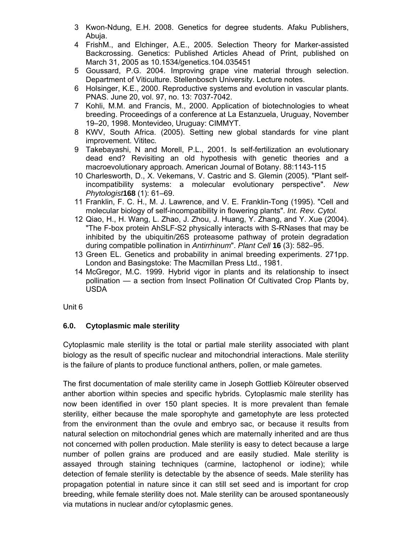- 3 Kwon-Ndung, E.H. 2008. Genetics for degree students. Afaku Publishers, Abuja.
- 4 FrishM., and Elchinger, A.E., 2005. Selection Theory for Marker-assisted Backcrossing. Genetics: Published Articles Ahead of Print, published on March 31, 2005 as 10.1534/genetics.104.035451
- 5 Goussard, P.G. 2004. Improving grape vine material through selection. Department of Viticulture. Stellenbosch University. Lecture notes.
- 6 Holsinger, K.E., 2000. Reproductive systems and evolution in vascular plants. PNAS. June 20, vol. 97, no. 13: 7037-7042.
- 7 Kohli, M.M. and Francis, M., 2000. Application of biotechnologies to wheat breeding. Proceedings of a conference at La Estanzuela, Uruguay, November 19–20, 1998. Montevideo, Uruguay: CIMMYT.
- 8 KWV, South Africa. (2005). Setting new global standards for vine plant improvement. Vititec.
- 9 Takebayashi, N and Morell, P.L., 2001. Is self-fertilization an evolutionary dead end? Revisiting an old hypothesis with genetic theories and a macroevolutionary approach. American Journal of Botany. 88:1143-115
- 10 Charlesworth, D., X. Vekemans, V. Castric and S. Glemin (2005). "Plant selfincompatibility systems: a molecular evolutionary perspective". *New Phytologist***168** (1): 61–69.
- 11 Franklin, F. C. H., M. J. Lawrence, and V. E. Franklin-Tong (1995). "Cell and molecular biology of self-incompatibility in flowering plants". *Int. Rev. Cytol.*
- 12 Qiao, H., H. Wang, L. Zhao, J. Zhou, J. Huang, Y. Zhang, and Y. Xue (2004). "The F-box protein AhSLF-S2 physically interacts with S-RNases that may be inhibited by the ubiquitin/26S proteasome pathway of protein degradation during compatible pollination in *Antirrhinum*". *Plant Cell* **16** (3): 582–95.
- 13 Green EL. Genetics and probability in animal breeding experiments. 271pp. London and Basingstoke: The Macmillan Press Ltd., 1981.
- 14 McGregor, M.C. 1999. Hybrid vigor in plants and its relationship to insect pollination — a section from Insect Pollination Of Cultivated Crop Plants by, USDA

#### Unit 6

## **6.0. Cytoplasmic male sterility**

Cytoplasmic male sterility is the total or partial male sterility associated with plant biology as the result of specific nuclear and mitochondrial interactions. Male sterility is the failure of plants to produce functional anthers, pollen, or male gametes.

The first documentation of male sterility came in Joseph Gottlieb Kölreuter observed anther abortion within species and specific hybrids. Cytoplasmic male sterility has now been identified in over 150 plant species. It is more prevalent than female sterility, either because the male sporophyte and gametophyte are less protected from the environment than the ovule and embryo sac, or because it results from natural selection on mitochondrial genes which are maternally inherited and are thus not concerned with pollen production. Male sterility is easy to detect because a large number of pollen grains are produced and are easily studied. Male sterility is assayed through staining techniques (carmine, lactophenol or iodine); while detection of female sterility is detectable by the absence of seeds. Male sterility has propagation potential in nature since it can still set seed and is important for crop breeding, while female sterility does not. Male sterility can be aroused spontaneously via mutations in nuclear and/or cytoplasmic genes.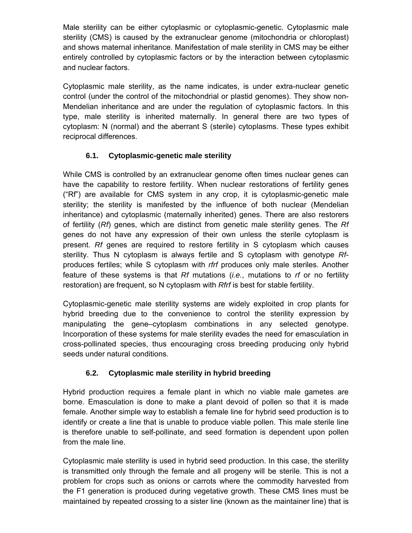Male sterility can be either cytoplasmic or cytoplasmic-genetic. Cytoplasmic male sterility (CMS) is caused by the extranuclear genome (mitochondria or chloroplast) and shows maternal inheritance. Manifestation of male sterility in CMS may be either entirely controlled by cytoplasmic factors or by the interaction between cytoplasmic and nuclear factors.

Cytoplasmic male sterility, as the name indicates, is under extra-nuclear genetic control (under the control of the mitochondrial or plastid genomes). They show non-Mendelian inheritance and are under the regulation of cytoplasmic factors. In this type, male sterility is inherited maternally. In general there are two types of cytoplasm: N (normal) and the aberrant S (sterile) cytoplasms. These types exhibit reciprocal differences.

## **6.1. Cytoplasmic-genetic male sterility**

While CMS is controlled by an extranuclear genome often times nuclear genes can have the capability to restore fertility. When nuclear restorations of fertility genes ("Rf") are available for CMS system in any crop, it is cytoplasmic-genetic male sterility; the sterility is manifested by the influence of both nuclear (Mendelian inheritance) and cytoplasmic (maternally inherited) genes. There are also restorers of fertility (*Rf*) genes, which are distinct from genetic male sterility genes. The *Rf* genes do not have any expression of their own unless the sterile cytoplasm is present. *Rf* genes are required to restore fertility in S cytoplasm which causes sterility. Thus N cytoplasm is always fertile and S cytoplasm with genotype *Rf*produces fertiles; while S cytoplasm with *rfrf* produces only male steriles. Another feature of these systems is that *Rf* mutations (*i.e.*, mutations to *rf* or no fertility restoration) are frequent, so N cytoplasm with *Rfrf* is best for stable fertility.

Cytoplasmic-genetic male sterility systems are widely exploited in crop plants for hybrid breeding due to the convenience to control the sterility expression by manipulating the gene–cytoplasm combinations in any selected genotype. Incorporation of these systems for male sterility evades the need for emasculation in cross-pollinated species, thus encouraging cross breeding producing only hybrid seeds under natural conditions.

## **6.2. Cytoplasmic male sterility in hybrid breeding**

Hybrid production requires a female plant in which no viable male gametes are borne. Emasculation is done to make a plant devoid of pollen so that it is made female. Another simple way to establish a female line for hybrid seed production is to identify or create a line that is unable to produce viable pollen. This male sterile line is therefore unable to self-pollinate, and seed formation is dependent upon pollen from the male line.

Cytoplasmic male sterility is used in hybrid seed production. In this case, the sterility is transmitted only through the female and all progeny will be sterile. This is not a problem for crops such as onions or carrots where the commodity harvested from the F1 generation is produced during vegetative growth. These CMS lines must be maintained by repeated crossing to a sister line (known as the maintainer line) that is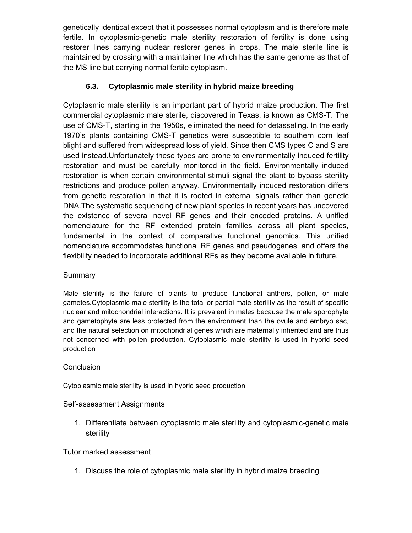genetically identical except that it possesses normal cytoplasm and is therefore male fertile. In cytoplasmic-genetic male sterility restoration of fertility is done using restorer lines carrying nuclear restorer genes in crops. The male sterile line is maintained by crossing with a maintainer line which has the same genome as that of the MS line but carrying normal fertile cytoplasm.

## **6.3. Cytoplasmic male sterility in hybrid maize breeding**

Cytoplasmic male sterility is an important part of hybrid maize production. The first commercial cytoplasmic male sterile, discovered in Texas, is known as CMS-T. The use of CMS-T, starting in the 1950s, eliminated the need for detasseling. In the early 1970's plants containing CMS-T genetics were susceptible to southern corn leaf blight and suffered from widespread loss of yield. Since then CMS types C and S are used instead.Unfortunately these types are prone to environmentally induced fertility restoration and must be carefully monitored in the field. Environmentally induced restoration is when certain environmental stimuli signal the plant to bypass sterility restrictions and produce pollen anyway. Environmentally induced restoration differs from genetic restoration in that it is rooted in external signals rather than genetic DNA.The systematic sequencing of new plant species in recent years has uncovered the existence of several novel RF genes and their encoded proteins. A unified nomenclature for the RF extended protein families across all plant species, fundamental in the context of comparative functional genomics. This unified nomenclature accommodates functional RF genes and pseudogenes, and offers the flexibility needed to incorporate additional RFs as they become available in future.

## **Summary**

Male sterility is the failure of plants to produce functional anthers, pollen, or male gametes.Cytoplasmic male sterility is the total or partial male sterility as the result of specific nuclear and mitochondrial interactions. It is prevalent in males because the male sporophyte and gametophyte are less protected from the environment than the ovule and embryo sac, and the natural selection on mitochondrial genes which are maternally inherited and are thus not concerned with pollen production. Cytoplasmic male sterility is used in hybrid seed production

#### **Conclusion**

Cytoplasmic male sterility is used in hybrid seed production.

## Self-assessment Assignments

1. Differentiate between cytoplasmic male sterility and cytoplasmic-genetic male sterility

## Tutor marked assessment

1. Discuss the role of cytoplasmic male sterility in hybrid maize breeding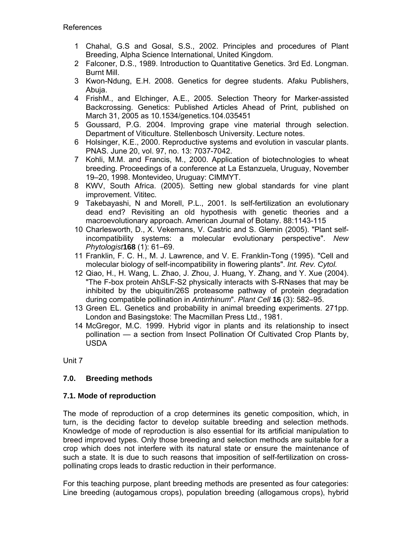- 1 Chahal, G.S and Gosal, S.S., 2002. Principles and procedures of Plant Breeding, Alpha Science International, United Kingdom.
- 2 Falconer, D.S., 1989. Introduction to Quantitative Genetics. 3rd Ed. Longman. Burnt Mill.
- 3 Kwon-Ndung, E.H. 2008. Genetics for degree students. Afaku Publishers, Abuja.
- 4 FrishM., and Elchinger, A.E., 2005. Selection Theory for Marker-assisted Backcrossing. Genetics: Published Articles Ahead of Print, published on March 31, 2005 as 10.1534/genetics.104.035451
- 5 Goussard, P.G. 2004. Improving grape vine material through selection. Department of Viticulture. Stellenbosch University. Lecture notes.
- 6 Holsinger, K.E., 2000. Reproductive systems and evolution in vascular plants. PNAS. June 20, vol. 97, no. 13: 7037-7042.
- 7 Kohli, M.M. and Francis, M., 2000. Application of biotechnologies to wheat breeding. Proceedings of a conference at La Estanzuela, Uruguay, November 19–20, 1998. Montevideo, Uruguay: CIMMYT.
- 8 KWV, South Africa. (2005). Setting new global standards for vine plant improvement. Vititec.
- 9 Takebayashi, N and Morell, P.L., 2001. Is self-fertilization an evolutionary dead end? Revisiting an old hypothesis with genetic theories and a macroevolutionary approach. American Journal of Botany. 88:1143-115
- 10 Charlesworth, D., X. Vekemans, V. Castric and S. Glemin (2005). "Plant selfincompatibility systems: a molecular evolutionary perspective". *New Phytologist***168** (1): 61–69.
- 11 Franklin, F. C. H., M. J. Lawrence, and V. E. Franklin-Tong (1995). "Cell and molecular biology of self-incompatibility in flowering plants". *Int. Rev. Cytol.*
- 12 Qiao, H., H. Wang, L. Zhao, J. Zhou, J. Huang, Y. Zhang, and Y. Xue (2004). "The F-box protein AhSLF-S2 physically interacts with S-RNases that may be inhibited by the ubiquitin/26S proteasome pathway of protein degradation during compatible pollination in *Antirrhinum*". *Plant Cell* **16** (3): 582–95.
- 13 Green EL. Genetics and probability in animal breeding experiments. 271pp. London and Basingstoke: The Macmillan Press Ltd., 1981.
- 14 McGregor, M.C. 1999. Hybrid vigor in plants and its relationship to insect pollination — a section from Insect Pollination Of Cultivated Crop Plants by, USDA

Unit 7

## **7.0. Breeding methods**

## **7.1. Mode of reproduction**

The mode of reproduction of a crop determines its genetic composition, which, in turn, is the deciding factor to develop suitable breeding and selection methods. Knowledge of mode of reproduction is also essential for its artificial manipulation to breed improved types. Only those breeding and selection methods are suitable for a crop which does not interfere with its natural state or ensure the maintenance of such a state. It is due to such reasons that imposition of self-fertilization on crosspollinating crops leads to drastic reduction in their performance.

For this teaching purpose, plant breeding methods are presented as four categories: Line breeding (autogamous crops), population breeding (allogamous crops), hybrid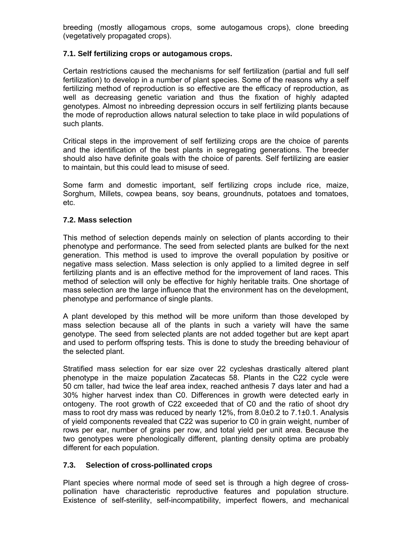breeding (mostly allogamous crops, some autogamous crops), clone breeding (vegetatively propagated crops).

#### **7.1. Self fertilizing crops or autogamous crops.**

Certain restrictions caused the mechanisms for self fertilization (partial and full self fertilization) to develop in a number of plant species. Some of the reasons why a self fertilizing method of reproduction is so effective are the efficacy of reproduction, as well as decreasing genetic variation and thus the fixation of highly adapted genotypes. Almost no inbreeding depression occurs in self fertilizing plants because the mode of reproduction allows natural selection to take place in wild populations of such plants.

Critical steps in the improvement of self fertilizing crops are the choice of parents and the identification of the best plants in segregating generations. The breeder should also have definite goals with the choice of parents. Self fertilizing are easier to maintain, but this could lead to misuse of seed.

Some farm and domestic important, self fertilizing crops include rice, maize, Sorghum, Millets, cowpea beans, soy beans, groundnuts, potatoes and tomatoes, etc.

#### **7.2. Mass selection**

This method of selection depends mainly on selection of plants according to their phenotype and performance. The seed from selected plants are bulked for the next generation. This method is used to improve the overall population by positive or negative mass selection. Mass selection is only applied to a limited degree in self fertilizing plants and is an effective method for the improvement of land races. This method of selection will only be effective for highly heritable traits. One shortage of mass selection are the large influence that the environment has on the development, phenotype and performance of single plants.

A plant developed by this method will be more uniform than those developed by mass selection because all of the plants in such a variety will have the same genotype. The seed from selected plants are not added together but are kept apart and used to perform offspring tests. This is done to study the breeding behaviour of the selected plant.

Stratified mass selection for ear size over 22 cycleshas drastically altered plant phenotype in the maize population Zacatecas 58. Plants in the C22 cycle were 50 cm taller, had twice the leaf area index, reached anthesis 7 days later and had a 30% higher harvest index than C0. Differences in growth were detected early in ontogeny. The root growth of C22 exceeded that of C0 and the ratio of shoot dry mass to root dry mass was reduced by nearly 12%, from 8.0±0.2 to 7.1±0.1. Analysis of yield components revealed that C22 was superior to C0 in grain weight, number of rows per ear, number of grains per row, and total yield per unit area. Because the two genotypes were phenologically different, planting density optima are probably different for each population.

## **7.3. Selection of cross-pollinated crops**

Plant species where normal mode of seed set is through a high degree of crosspollination have characteristic reproductive features and population structure. Existence of self-sterility, self-incompatibility, imperfect flowers, and mechanical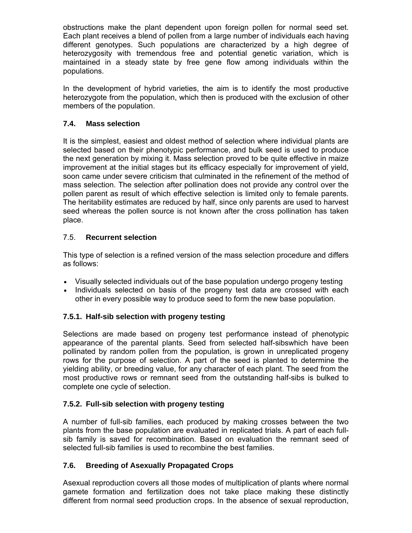obstructions make the plant dependent upon foreign pollen for normal seed set. Each plant receives a blend of pollen from a large number of individuals each having different genotypes. Such populations are characterized by a high degree of heterozygosity with tremendous free and potential genetic variation, which is maintained in a steady state by free gene flow among individuals within the populations.

In the development of hybrid varieties, the aim is to identify the most productive heterozygote from the population, which then is produced with the exclusion of other members of the population.

## **7.4. Mass selection**

It is the simplest, easiest and oldest method of selection where individual plants are selected based on their phenotypic performance, and bulk seed is used to produce the next generation by mixing it. Mass selection proved to be quite effective in maize improvement at the initial stages but its efficacy especially for improvement of yield, soon came under severe criticism that culminated in the refinement of the method of mass selection. The selection after pollination does not provide any control over the pollen parent as result of which effective selection is limited only to female parents. The heritability estimates are reduced by half, since only parents are used to harvest seed whereas the pollen source is not known after the cross pollination has taken place.

## 7.5. **Recurrent selection**

This type of selection is a refined version of the mass selection procedure and differs as follows:

- Visually selected individuals out of the base population undergo progeny testing
- Individuals selected on basis of the progeny test data are crossed with each other in every possible way to produce seed to form the new base population.

## **7.5.1. Half-sib selection with progeny testing**

Selections are made based on progeny test performance instead of phenotypic appearance of the parental plants. Seed from selected half-sibswhich have been pollinated by random pollen from the population, is grown in unreplicated progeny rows for the purpose of selection. A part of the seed is planted to determine the yielding ability, or breeding value, for any character of each plant. The seed from the most productive rows or remnant seed from the outstanding half-sibs is bulked to complete one cycle of selection.

## **7.5.2. Full-sib selection with progeny testing**

A number of full-sib families, each produced by making crosses between the two plants from the base population are evaluated in replicated trials. A part of each fullsib family is saved for recombination. Based on evaluation the remnant seed of selected full-sib families is used to recombine the best families.

## **7.6. Breeding of Asexually Propagated Crops**

Asexual reproduction covers all those modes of multiplication of plants where normal gamete formation and fertilization does not take place making these distinctly different from normal seed production crops. In the absence of sexual reproduction,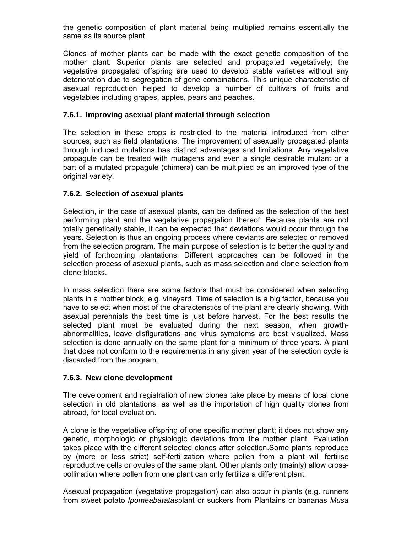the genetic composition of plant material being multiplied remains essentially the same as its source plant.

Clones of mother plants can be made with the exact genetic composition of the mother plant. Superior plants are selected and propagated vegetatively; the vegetative propagated offspring are used to develop stable varieties without any deterioration due to segregation of gene combinations. This unique characteristic of asexual reproduction helped to develop a number of cultivars of fruits and vegetables including grapes, apples, pears and peaches.

#### **7.6.1. Improving asexual plant material through selection**

The selection in these crops is restricted to the material introduced from other sources, such as field plantations. The improvement of asexually propagated plants through induced mutations has distinct advantages and limitations. Any vegetative propagule can be treated with mutagens and even a single desirable mutant or a part of a mutated propagule (chimera) can be multiplied as an improved type of the original variety.

#### **7.6.2. Selection of asexual plants**

Selection, in the case of asexual plants, can be defined as the selection of the best performing plant and the vegetative propagation thereof. Because plants are not totally genetically stable, it can be expected that deviations would occur through the years. Selection is thus an ongoing process where deviants are selected or removed from the selection program. The main purpose of selection is to better the quality and yield of forthcoming plantations. Different approaches can be followed in the selection process of asexual plants, such as mass selection and clone selection from clone blocks.

In mass selection there are some factors that must be considered when selecting plants in a mother block, e.g. vineyard. Time of selection is a big factor, because you have to select when most of the characteristics of the plant are clearly showing. With asexual perennials the best time is just before harvest. For the best results the selected plant must be evaluated during the next season, when growthabnormalities, leave disfigurations and virus symptoms are best visualized. Mass selection is done annually on the same plant for a minimum of three years. A plant that does not conform to the requirements in any given year of the selection cycle is discarded from the program.

#### **7.6.3. New clone development**

The development and registration of new clones take place by means of local clone selection in old plantations, as well as the importation of high quality clones from abroad, for local evaluation.

A clone is the vegetative offspring of one specific mother plant; it does not show any genetic, morphologic or physiologic deviations from the mother plant. Evaluation takes place with the different selected clones after selection.Some plants reproduce by (more or less strict) self-fertilization where pollen from a plant will fertilise reproductive cells or ovules of the same plant. Other plants only (mainly) allow crosspollination where pollen from one plant can only fertilize a different plant.

Asexual propagation (vegetative propagation) can also occur in plants (e.g. runners from sweet potato *Ipomeabatatas*plant or suckers from Plantains or bananas *Musa*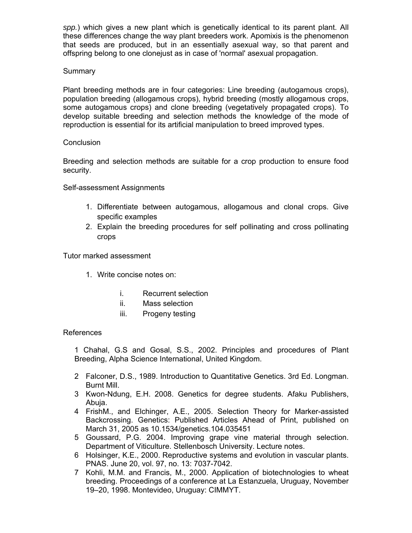*spp.*) which gives a new plant which is genetically identical to its parent plant. All these differences change the way plant breeders work. Apomixis is the phenomenon that seeds are produced, but in an essentially asexual way, so that parent and offspring belong to one clonejust as in case of 'normal' asexual propagation.

#### Summary

Plant breeding methods are in four categories: Line breeding (autogamous crops), population breeding (allogamous crops), hybrid breeding (mostly allogamous crops, some autogamous crops) and clone breeding (vegetatively propagated crops). To develop suitable breeding and selection methods the knowledge of the mode of reproduction is essential for its artificial manipulation to breed improved types.

#### **Conclusion**

Breeding and selection methods are suitable for a crop production to ensure food security.

Self-assessment Assignments

- 1. Differentiate between autogamous, allogamous and clonal crops. Give specific examples
- 2. Explain the breeding procedures for self pollinating and cross pollinating crops

Tutor marked assessment

- 1. Write concise notes on:
	- i. Recurrent selection
	- ii. Mass selection
	- iii. Progeny testing

#### References

1 Chahal, G.S and Gosal, S.S., 2002. Principles and procedures of Plant Breeding, Alpha Science International, United Kingdom.

- 2 Falconer, D.S., 1989. Introduction to Quantitative Genetics. 3rd Ed. Longman. Burnt Mill.
- 3 Kwon-Ndung, E.H. 2008. Genetics for degree students. Afaku Publishers, Abuja.
- 4 FrishM., and Elchinger, A.E., 2005. Selection Theory for Marker-assisted Backcrossing. Genetics: Published Articles Ahead of Print, published on March 31, 2005 as 10.1534/genetics.104.035451
- 5 Goussard, P.G. 2004. Improving grape vine material through selection. Department of Viticulture. Stellenbosch University. Lecture notes.
- 6 Holsinger, K.E., 2000. Reproductive systems and evolution in vascular plants. PNAS. June 20, vol. 97, no. 13: 7037-7042.
- 7 Kohli, M.M. and Francis, M., 2000. Application of biotechnologies to wheat breeding. Proceedings of a conference at La Estanzuela, Uruguay, November 19–20, 1998. Montevideo, Uruguay: CIMMYT.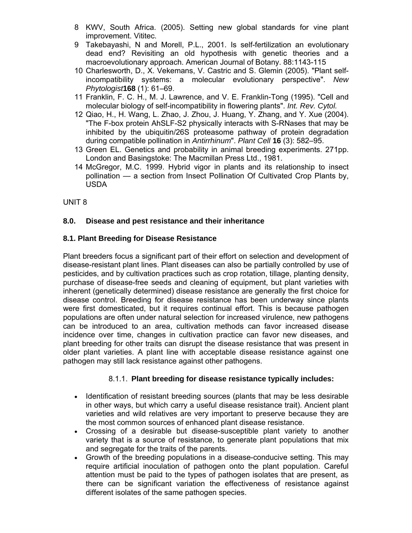- 8 KWV, South Africa. (2005). Setting new global standards for vine plant improvement. Vititec.
- 9 Takebayashi, N and Morell, P.L., 2001. Is self-fertilization an evolutionary dead end? Revisiting an old hypothesis with genetic theories and a macroevolutionary approach. American Journal of Botany. 88:1143-115
- 10 Charlesworth, D., X. Vekemans, V. Castric and S. Glemin (2005). "Plant selfincompatibility systems: a molecular evolutionary perspective". *New Phytologist***168** (1): 61–69.
- 11 Franklin, F. C. H., M. J. Lawrence, and V. E. Franklin-Tong (1995). "Cell and molecular biology of self-incompatibility in flowering plants". *Int. Rev. Cytol.*
- 12 Qiao, H., H. Wang, L. Zhao, J. Zhou, J. Huang, Y. Zhang, and Y. Xue (2004). "The F-box protein AhSLF-S2 physically interacts with S-RNases that may be inhibited by the ubiquitin/26S proteasome pathway of protein degradation during compatible pollination in *Antirrhinum*". *Plant Cell* **16** (3): 582–95.
- 13 Green EL. Genetics and probability in animal breeding experiments. 271pp. London and Basingstoke: The Macmillan Press Ltd., 1981.
- 14 McGregor, M.C. 1999. Hybrid vigor in plants and its relationship to insect pollination — a section from Insect Pollination Of Cultivated Crop Plants by, USDA

UNIT 8

## **8.0. Disease and pest resistance and their inheritance**

#### **8.1. Plant Breeding for Disease Resistance**

Plant breeders focus a significant part of their effort on selection and development of disease-resistant plant lines. Plant diseases can also be partially controlled by use of pesticides, and by cultivation practices such as crop rotation, tillage, planting density, purchase of disease-free seeds and cleaning of equipment, but plant varieties with inherent (genetically determined) disease resistance are generally the first choice for disease control. Breeding for disease resistance has been underway since plants were first domesticated, but it requires continual effort. This is because pathogen populations are often under natural selection for increased virulence, new pathogens can be introduced to an area, cultivation methods can favor increased disease incidence over time, changes in cultivation practice can favor new diseases, and plant breeding for other traits can disrupt the disease resistance that was present in older plant varieties. A plant line with acceptable disease resistance against one pathogen may still lack resistance against other pathogens.

## 8.1.1. **Plant breeding for disease resistance typically includes:**

- Identification of resistant breeding sources (plants that may be less desirable in other ways, but which carry a useful disease resistance trait). Ancient plant varieties and wild relatives are very important to preserve because they are the most common sources of enhanced plant disease resistance.
- Crossing of a desirable but disease-susceptible plant variety to another variety that is a source of resistance, to generate plant populations that mix and segregate for the traits of the parents.
- Growth of the breeding populations in a disease-conducive setting. This may require artificial inoculation of pathogen onto the plant population. Careful attention must be paid to the types of pathogen isolates that are present, as there can be significant variation the effectiveness of resistance against different isolates of the same pathogen species.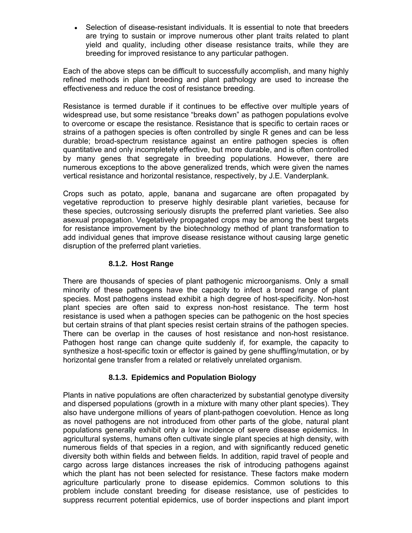Selection of disease-resistant individuals. It is essential to note that breeders are trying to sustain or improve numerous other plant traits related to plant yield and quality, including other disease resistance traits, while they are breeding for improved resistance to any particular pathogen.

Each of the above steps can be difficult to successfully accomplish, and many highly refined methods in plant breeding and plant pathology are used to increase the effectiveness and reduce the cost of resistance breeding.

Resistance is termed durable if it continues to be effective over multiple years of widespread use, but some resistance "breaks down" as pathogen populations evolve to overcome or escape the resistance. Resistance that is specific to certain races or strains of a pathogen species is often controlled by single R genes and can be less durable; broad-spectrum resistance against an entire pathogen species is often quantitative and only incompletely effective, but more durable, and is often controlled by many genes that segregate in breeding populations. However, there are numerous exceptions to the above generalized trends, which were given the names vertical resistance and horizontal resistance, respectively, by J.E. Vanderplank.

Crops such as potato, apple, banana and sugarcane are often propagated by vegetative reproduction to preserve highly desirable plant varieties, because for these species, outcrossing seriously disrupts the preferred plant varieties. See also asexual propagation. Vegetatively propagated crops may be among the best targets for resistance improvement by the biotechnology method of plant transformation to add individual genes that improve disease resistance without causing large genetic disruption of the preferred plant varieties.

## **8.1.2. Host Range**

There are thousands of species of plant pathogenic microorganisms. Only a small minority of these pathogens have the capacity to infect a broad range of plant species. Most pathogens instead exhibit a high degree of host-specificity. Non-host plant species are often said to express non-host resistance. The term host resistance is used when a pathogen species can be pathogenic on the host species but certain strains of that plant species resist certain strains of the pathogen species. There can be overlap in the causes of host resistance and non-host resistance. Pathogen host range can change quite suddenly if, for example, the capacity to synthesize a host-specific toxin or effector is gained by gene shuffling/mutation, or by horizontal gene transfer from a related or relatively unrelated organism.

## **8.1.3. Epidemics and Population Biology**

Plants in native populations are often characterized by substantial genotype diversity and dispersed populations (growth in a mixture with many other plant species). They also have undergone millions of years of plant-pathogen coevolution. Hence as long as novel pathogens are not introduced from other parts of the globe, natural plant populations generally exhibit only a low incidence of severe disease epidemics. In agricultural systems, humans often cultivate single plant species at high density, with numerous fields of that species in a region, and with significantly reduced genetic diversity both within fields and between fields. In addition, rapid travel of people and cargo across large distances increases the risk of introducing pathogens against which the plant has not been selected for resistance. These factors make modern agriculture particularly prone to disease epidemics. Common solutions to this problem include constant breeding for disease resistance, use of pesticides to suppress recurrent potential epidemics, use of border inspections and plant import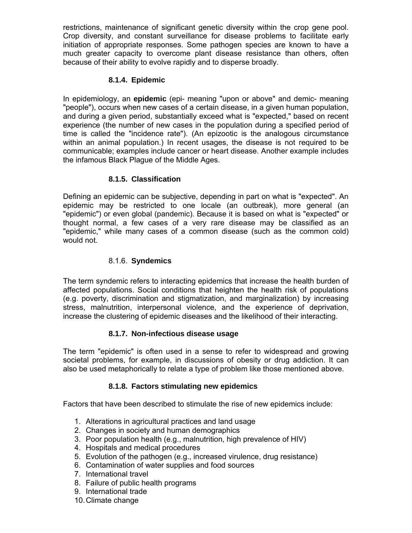restrictions, maintenance of significant genetic diversity within the crop gene pool. Crop diversity, and constant surveillance for disease problems to facilitate early initiation of appropriate responses. Some pathogen species are known to have a much greater capacity to overcome plant disease resistance than others, often because of their ability to evolve rapidly and to disperse broadly.

#### **8.1.4. Epidemic**

In epidemiology, an **epidemic** (epi- meaning "upon or above" and demic- meaning "people"), occurs when new cases of a certain disease, in a given human population, and during a given period, substantially exceed what is "expected," based on recent experience (the number of new cases in the population during a specified period of time is called the "incidence rate"). (An epizootic is the analogous circumstance within an animal population.) In recent usages, the disease is not required to be communicable; examples include cancer or heart disease. Another example includes the infamous Black Plague of the Middle Ages.

#### **8.1.5. Classification**

Defining an epidemic can be subjective, depending in part on what is "expected". An epidemic may be restricted to one locale (an outbreak), more general (an "epidemic") or even global (pandemic). Because it is based on what is "expected" or thought normal, a few cases of a very rare disease may be classified as an "epidemic," while many cases of a common disease (such as the common cold) would not.

#### 8.1.6. **Syndemics**

The term syndemic refers to interacting epidemics that increase the health burden of affected populations. Social conditions that heighten the health risk of populations (e.g. poverty, discrimination and stigmatization, and marginalization) by increasing stress, malnutrition, interpersonal violence, and the experience of deprivation, increase the clustering of epidemic diseases and the likelihood of their interacting.

#### **8.1.7. Non-infectious disease usage**

The term "epidemic" is often used in a sense to refer to widespread and growing societal problems, for example, in discussions of obesity or drug addiction. It can also be used metaphorically to relate a type of problem like those mentioned above.

#### **8.1.8. Factors stimulating new epidemics**

Factors that have been described to stimulate the rise of new epidemics include:

- 1. Alterations in agricultural practices and land usage
- 2. Changes in society and human demographics
- 3. Poor population health (e.g., malnutrition, high prevalence of HIV)
- 4. Hospitals and medical procedures
- 5. Evolution of the pathogen (e.g., increased virulence, drug resistance)
- 6. Contamination of water supplies and food sources
- 7. International travel
- 8. Failure of public health programs
- 9. International trade
- 10. Climate change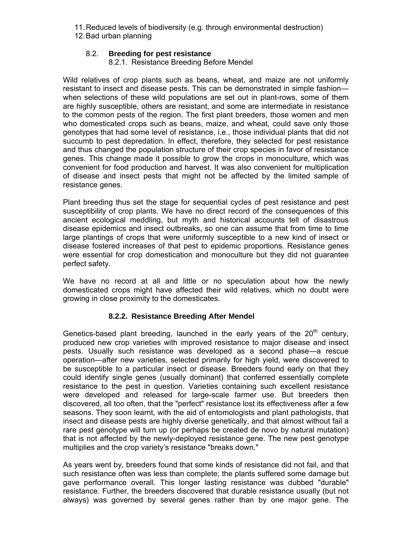- 11. Reduced levels of biodiversity (e.g. through environmental destruction)
- 12. Bad urban planning

## 8.2. **Breeding for pest resistance**

8.2.1. Resistance Breeding Before Mendel

Wild relatives of crop plants such as beans, wheat, and maize are not uniformly resistant to insect and disease pests. This can be demonstrated in simple fashion when selections of these wild populations are set out in plant-rows, some of them are highly susceptible, others are resistant, and some are intermediate in resistance to the common pests of the region. The first plant breeders, those women and men who domesticated crops such as beans, maize, and wheat, could save only those genotypes that had some level of resistance, i.e., those individual plants that did not succumb to pest depredation. In effect, therefore, they selected for pest resistance and thus changed the population structure of their crop species in favor of resistance genes. This change made it possible to grow the crops in monoculture, which was convenient for food production and harvest. It was also convenient for multiplication of disease and insect pests that might not be affected by the limited sample of resistance genes.

Plant breeding thus set the stage for sequential cycles of pest resistance and pest susceptibility of crop plants. We have no direct record of the consequences of this ancient ecological meddling, but myth and historical accounts tell of disastrous disease epidemics and insect outbreaks, so one can assume that from time to time large plantings of crops that were uniformly susceptible to a new kind of insect or disease fostered increases of that pest to epidemic proportions. Resistance genes were essential for crop domestication and monoculture but they did not guarantee perfect safety.

We have no record at all and little or no speculation about how the newly domesticated crops might have affected their wild relatives, which no doubt were growing in close proximity to the domesticates.

## **8.2.2. Resistance Breeding After Mendel**

Genetics-based plant breeding, launched in the early years of the  $20<sup>th</sup>$  century, produced new crop varieties with improved resistance to major disease and insect pests. Usually such resistance was developed as a second phase—a rescue operation—after new varieties, selected primarily for high yield, were discovered to be susceptible to a particular insect or disease. Breeders found early on that they could identify single genes (usually dominant) that conferred essentially complete resistance to the pest in question. Varieties containing such excellent resistance were developed and released for large-scale farmer use. But breeders then discovered, all too often, that the "perfect" resistance lost its effectiveness after a few seasons. They soon learnt, with the aid of entomologists and plant pathologists, that insect and disease pests are highly diverse genetically, and that almost without fail a rare pest genotype will turn up (or perhaps be created de novo by natural mutation) that is not affected by the newly-deployed resistance gene. The new pest genotype multiplies and the crop variety's resistance "breaks down."

As years went by, breeders found that some kinds of resistance did not fail, and that such resistance often was less than complete; the plants suffered some damage but gave performance overall. This longer lasting resistance was dubbed "durable" resistance. Further, the breeders discovered that durable resistance usually (but not always) was governed by several genes rather than by one major gene. The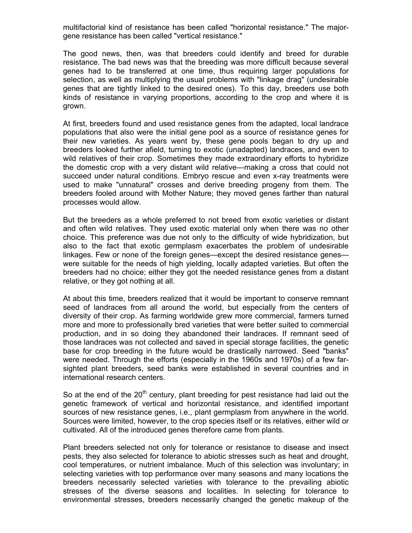multifactorial kind of resistance has been called "horizontal resistance." The majorgene resistance has been called "vertical resistance."

The good news, then, was that breeders could identify and breed for durable resistance. The bad news was that the breeding was more difficult because several genes had to be transferred at one time, thus requiring larger populations for selection, as well as multiplying the usual problems with "linkage drag" (undesirable genes that are tightly linked to the desired ones). To this day, breeders use both kinds of resistance in varying proportions, according to the crop and where it is grown.

At first, breeders found and used resistance genes from the adapted, local landrace populations that also were the initial gene pool as a source of resistance genes for their new varieties. As years went by, these gene pools began to dry up and breeders looked further afield, turning to exotic (unadapted) landraces, and even to wild relatives of their crop. Sometimes they made extraordinary efforts to hybridize the domestic crop with a very distant wild relative—making a cross that could not succeed under natural conditions. Embryo rescue and even x-ray treatments were used to make "unnatural" crosses and derive breeding progeny from them. The breeders fooled around with Mother Nature; they moved genes farther than natural processes would allow.

But the breeders as a whole preferred to not breed from exotic varieties or distant and often wild relatives. They used exotic material only when there was no other choice. This preference was due not only to the difficulty of wide hybridization, but also to the fact that exotic germplasm exacerbates the problem of undesirable linkages. Few or none of the foreign genes—except the desired resistance genes were suitable for the needs of high yielding, locally adapted varieties. But often the breeders had no choice; either they got the needed resistance genes from a distant relative, or they got nothing at all.

At about this time, breeders realized that it would be important to conserve remnant seed of landraces from all around the world, but especially from the centers of diversity of their crop. As farming worldwide grew more commercial, farmers turned more and more to professionally bred varieties that were better suited to commercial production, and in so doing they abandoned their landraces. If remnant seed of those landraces was not collected and saved in special storage facilities, the genetic base for crop breeding in the future would be drastically narrowed. Seed "banks" were needed. Through the efforts (especially in the 1960s and 1970s) of a few farsighted plant breeders, seed banks were established in several countries and in international research centers.

So at the end of the 20<sup>th</sup> century, plant breeding for pest resistance had laid out the genetic framework of vertical and horizontal resistance, and identified important sources of new resistance genes, i.e., plant germplasm from anywhere in the world. Sources were limited, however, to the crop species itself or its relatives, either wild or cultivated. All of the introduced genes therefore came from plants.

Plant breeders selected not only for tolerance or resistance to disease and insect pests, they also selected for tolerance to abiotic stresses such as heat and drought, cool temperatures, or nutrient imbalance. Much of this selection was involuntary; in selecting varieties with top performance over many seasons and many locations the breeders necessarily selected varieties with tolerance to the prevailing abiotic stresses of the diverse seasons and localities. In selecting for tolerance to environmental stresses, breeders necessarily changed the genetic makeup of the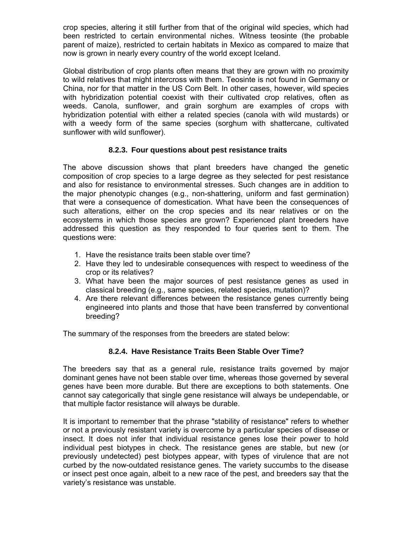crop species, altering it still further from that of the original wild species, which had been restricted to certain environmental niches. Witness teosinte (the probable parent of maize), restricted to certain habitats in Mexico as compared to maize that now is grown in nearly every country of the world except Iceland.

Global distribution of crop plants often means that they are grown with no proximity to wild relatives that might intercross with them. Teosinte is not found in Germany or China, nor for that matter in the US Corn Belt. In other cases, however, wild species with hybridization potential coexist with their cultivated crop relatives, often as weeds. Canola, sunflower, and grain sorghum are examples of crops with hybridization potential with either a related species (canola with wild mustards) or with a weedy form of the same species (sorghum with shattercane, cultivated sunflower with wild sunflower).

#### **8.2.3. Four questions about pest resistance traits**

The above discussion shows that plant breeders have changed the genetic composition of crop species to a large degree as they selected for pest resistance and also for resistance to environmental stresses. Such changes are in addition to the major phenotypic changes (e.g., non-shattering, uniform and fast germination) that were a consequence of domestication. What have been the consequences of such alterations, either on the crop species and its near relatives or on the ecosystems in which those species are grown? Experienced plant breeders have addressed this question as they responded to four queries sent to them. The questions were:

- 1. Have the resistance traits been stable over time?
- 2. Have they led to undesirable consequences with respect to weediness of the crop or its relatives?
- 3. What have been the major sources of pest resistance genes as used in classical breeding (e.g., same species, related species, mutation)?
- 4. Are there relevant differences between the resistance genes currently being engineered into plants and those that have been transferred by conventional breeding?

The summary of the responses from the breeders are stated below:

#### **8.2.4. Have Resistance Traits Been Stable Over Time?**

The breeders say that as a general rule, resistance traits governed by major dominant genes have not been stable over time, whereas those governed by several genes have been more durable. But there are exceptions to both statements. One cannot say categorically that single gene resistance will always be undependable, or that multiple factor resistance will always be durable.

It is important to remember that the phrase "stability of resistance" refers to whether or not a previously resistant variety is overcome by a particular species of disease or insect. It does not infer that individual resistance genes lose their power to hold individual pest biotypes in check. The resistance genes are stable, but new (or previously undetected) pest biotypes appear, with types of virulence that are not curbed by the now-outdated resistance genes. The variety succumbs to the disease or insect pest once again, albeit to a new race of the pest, and breeders say that the variety's resistance was unstable.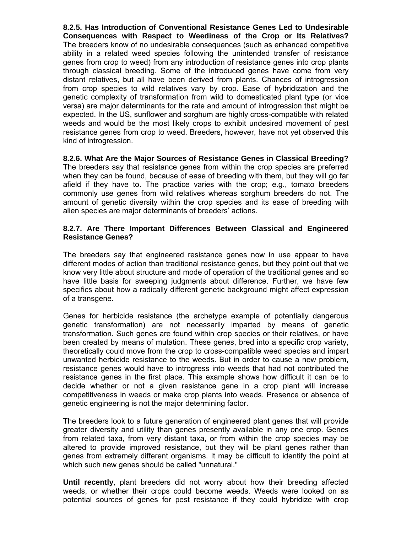**8.2.5. Has Introduction of Conventional Resistance Genes Led to Undesirable Consequences with Respect to Weediness of the Crop or Its Relatives?**  The breeders know of no undesirable consequences (such as enhanced competitive ability in a related weed species following the unintended transfer of resistance genes from crop to weed) from any introduction of resistance genes into crop plants through classical breeding. Some of the introduced genes have come from very distant relatives, but all have been derived from plants. Chances of introgression from crop species to wild relatives vary by crop. Ease of hybridization and the genetic complexity of transformation from wild to domesticated plant type (or vice versa) are major determinants for the rate and amount of introgression that might be expected. In the US, sunflower and sorghum are highly cross-compatible with related weeds and would be the most likely crops to exhibit undesired movement of pest resistance genes from crop to weed. Breeders, however, have not yet observed this kind of introgression.

**8.2.6. What Are the Major Sources of Resistance Genes in Classical Breeding?**  The breeders say that resistance genes from within the crop species are preferred when they can be found, because of ease of breeding with them, but they will go far afield if they have to. The practice varies with the crop; e.g., tomato breeders commonly use genes from wild relatives whereas sorghum breeders do not. The amount of genetic diversity within the crop species and its ease of breeding with alien species are major determinants of breeders' actions.

#### **8.2.7. Are There Important Differences Between Classical and Engineered Resistance Genes?**

The breeders say that engineered resistance genes now in use appear to have different modes of action than traditional resistance genes, but they point out that we know very little about structure and mode of operation of the traditional genes and so have little basis for sweeping judgments about difference. Further, we have few specifics about how a radically different genetic background might affect expression of a transgene.

Genes for herbicide resistance (the archetype example of potentially dangerous genetic transformation) are not necessarily imparted by means of genetic transformation. Such genes are found within crop species or their relatives, or have been created by means of mutation. These genes, bred into a specific crop variety, theoretically could move from the crop to cross-compatible weed species and impart unwanted herbicide resistance to the weeds. But in order to cause a new problem, resistance genes would have to introgress into weeds that had not contributed the resistance genes in the first place. This example shows how difficult it can be to decide whether or not a given resistance gene in a crop plant will increase competitiveness in weeds or make crop plants into weeds. Presence or absence of genetic engineering is not the major determining factor.

The breeders look to a future generation of engineered plant genes that will provide greater diversity and utility than genes presently available in any one crop. Genes from related taxa, from very distant taxa, or from within the crop species may be altered to provide improved resistance, but they will be plant genes rather than genes from extremely different organisms. It may be difficult to identify the point at which such new genes should be called "unnatural."

**Until recently**, plant breeders did not worry about how their breeding affected weeds, or whether their crops could become weeds. Weeds were looked on as potential sources of genes for pest resistance if they could hybridize with crop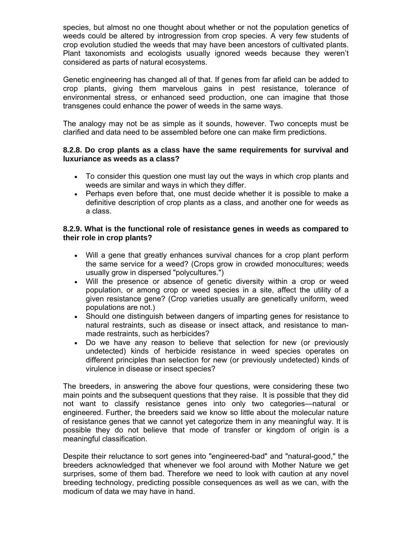species, but almost no one thought about whether or not the population genetics of weeds could be altered by introgression from crop species. A very few students of crop evolution studied the weeds that may have been ancestors of cultivated plants. Plant taxonomists and ecologists usually ignored weeds because they weren't considered as parts of natural ecosystems.

Genetic engineering has changed all of that. If genes from far afield can be added to crop plants, giving them marvelous gains in pest resistance, tolerance of environmental stress, or enhanced seed production, one can imagine that those transgenes could enhance the power of weeds in the same ways.

The analogy may not be as simple as it sounds, however. Two concepts must be clarified and data need to be assembled before one can make firm predictions.

#### **8.2.8. Do crop plants as a class have the same requirements for survival and luxuriance as weeds as a class?**

- To consider this question one must lay out the ways in which crop plants and weeds are similar and ways in which they differ.
- Perhaps even before that, one must decide whether it is possible to make a definitive description of crop plants as a class, and another one for weeds as a class.

#### **8.2.9. What is the functional role of resistance genes in weeds as compared to their role in crop plants?**

- Will a gene that greatly enhances survival chances for a crop plant perform the same service for a weed? (Crops grow in crowded monocultures; weeds usually grow in dispersed "polycultures.")
- Will the presence or absence of genetic diversity within a crop or weed population, or among crop or weed species in a site, affect the utility of a given resistance gene? (Crop varieties usually are genetically uniform, weed populations are not.)
- Should one distinguish between dangers of imparting genes for resistance to natural restraints, such as disease or insect attack, and resistance to manmade restraints, such as herbicides?
- Do we have any reason to believe that selection for new (or previously undetected) kinds of herbicide resistance in weed species operates on different principles than selection for new (or previously undetected) kinds of virulence in disease or insect species?

The breeders, in answering the above four questions, were considering these two main points and the subsequent questions that they raise. It is possible that they did not want to classify resistance genes into only two categories—natural or engineered. Further, the breeders said we know so little about the molecular nature of resistance genes that we cannot yet categorize them in any meaningful way. It is possible they do not believe that mode of transfer or kingdom of origin is a meaningful classification.

Despite their reluctance to sort genes into "engineered-bad" and "natural-good," the breeders acknowledged that whenever we fool around with Mother Nature we get surprises, some of them bad. Therefore we need to look with caution at any novel breeding technology, predicting possible consequences as well as we can, with the modicum of data we may have in hand.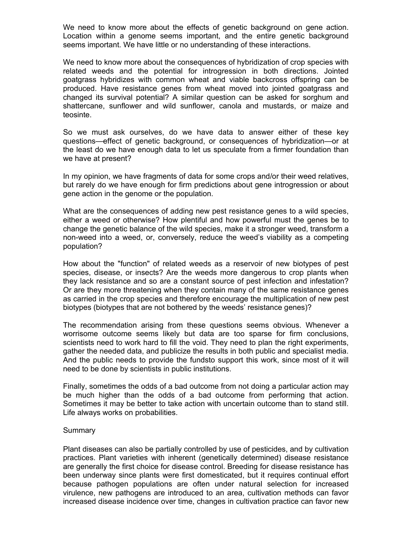We need to know more about the effects of genetic background on gene action. Location within a genome seems important, and the entire genetic background seems important. We have little or no understanding of these interactions.

We need to know more about the consequences of hybridization of crop species with related weeds and the potential for introgression in both directions. Jointed goatgrass hybridizes with common wheat and viable backcross offspring can be produced. Have resistance genes from wheat moved into jointed goatgrass and changed its survival potential? A similar question can be asked for sorghum and shattercane, sunflower and wild sunflower, canola and mustards, or maize and teosinte.

So we must ask ourselves, do we have data to answer either of these key questions—effect of genetic background, or consequences of hybridization—or at the least do we have enough data to let us speculate from a firmer foundation than we have at present?

In my opinion, we have fragments of data for some crops and/or their weed relatives, but rarely do we have enough for firm predictions about gene introgression or about gene action in the genome or the population.

What are the consequences of adding new pest resistance genes to a wild species, either a weed or otherwise? How plentiful and how powerful must the genes be to change the genetic balance of the wild species, make it a stronger weed, transform a non-weed into a weed, or, conversely, reduce the weed's viability as a competing population?

How about the "function" of related weeds as a reservoir of new biotypes of pest species, disease, or insects? Are the weeds more dangerous to crop plants when they lack resistance and so are a constant source of pest infection and infestation? Or are they more threatening when they contain many of the same resistance genes as carried in the crop species and therefore encourage the multiplication of new pest biotypes (biotypes that are not bothered by the weeds' resistance genes)?

The recommendation arising from these questions seems obvious. Whenever a worrisome outcome seems likely but data are too sparse for firm conclusions, scientists need to work hard to fill the void. They need to plan the right experiments, gather the needed data, and publicize the results in both public and specialist media. And the public needs to provide the fundsto support this work, since most of it will need to be done by scientists in public institutions.

Finally, sometimes the odds of a bad outcome from not doing a particular action may be much higher than the odds of a bad outcome from performing that action. Sometimes it may be better to take action with uncertain outcome than to stand still. Life always works on probabilities.

#### **Summary**

Plant diseases can also be partially controlled by use of pesticides, and by cultivation practices. Plant varieties with inherent (genetically determined) disease resistance are generally the first choice for disease control. Breeding for disease resistance has been underway since plants were first domesticated, but it requires continual effort because pathogen populations are often under natural selection for increased virulence, new pathogens are introduced to an area, cultivation methods can favor increased disease incidence over time, changes in cultivation practice can favor new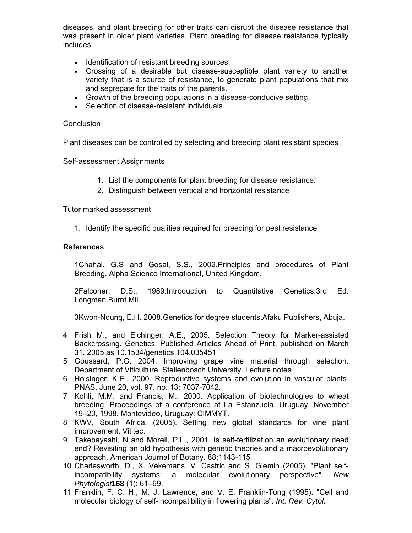diseases, and plant breeding for other traits can disrupt the disease resistance that was present in older plant varieties. Plant breeding for disease resistance typically includes:

- Identification of resistant breeding sources.
- Crossing of a desirable but disease-susceptible plant variety to another variety that is a source of resistance, to generate plant populations that mix and segregate for the traits of the parents.
- Growth of the breeding populations in a disease-conducive setting.
- Selection of disease-resistant individuals.

#### **Conclusion**

Plant diseases can be controlled by selecting and breeding plant resistant species

Self-assessment Assignments

- 1. List the components for plant breeding for disease resistance.
- 2. Distinguish between vertical and horizontal resistance

Tutor marked assessment

1. Identify the specific qualities required for breeding for pest resistance

#### **References**

1Chahal, G.S and Gosal, S.S., 2002.Principles and procedures of Plant Breeding, Alpha Science International, United Kingdom.

2Falconer, D.S., 1989.Introduction to Quantitative Genetics.3rd Ed. Longman.Burnt Mill.

3Kwon-Ndung, E.H. 2008.Genetics for degree students.Afaku Publishers, Abuja.

- 4 Frish M., and Elchinger, A.E., 2005. Selection Theory for Marker-assisted Backcrossing. Genetics: Published Articles Ahead of Print, published on March 31, 2005 as 10.1534/genetics.104.035451
- 5 Goussard, P.G. 2004. Improving grape vine material through selection. Department of Viticulture. Stellenbosch University. Lecture notes.
- 6 Holsinger, K.E., 2000. Reproductive systems and evolution in vascular plants. PNAS. June 20, vol. 97, no. 13: 7037-7042.
- 7 Kohli, M.M. and Francis, M., 2000. Application of biotechnologies to wheat breeding. Proceedings of a conference at La Estanzuela, Uruguay, November 19–20, 1998. Montevideo, Uruguay: CIMMYT.
- 8 KWV, South Africa. (2005). Setting new global standards for vine plant improvement. Vititec.
- 9 Takebayashi, N and Morell, P.L., 2001. Is self-fertilization an evolutionary dead end? Revisiting an old hypothesis with genetic theories and a macroevolutionary approach. American Journal of Botany. 88:1143-115
- 10 Charlesworth, D., X. Vekemans, V. Castric and S. Glemin (2005). "Plant selfincompatibility systems: a molecular evolutionary perspective". *New Phytologist***168** (1): 61–69.
- 11 Franklin, F. C. H., M. J. Lawrence, and V. E. Franklin-Tong (1995). "Cell and molecular biology of self-incompatibility in flowering plants". *Int. Rev. Cytol.*